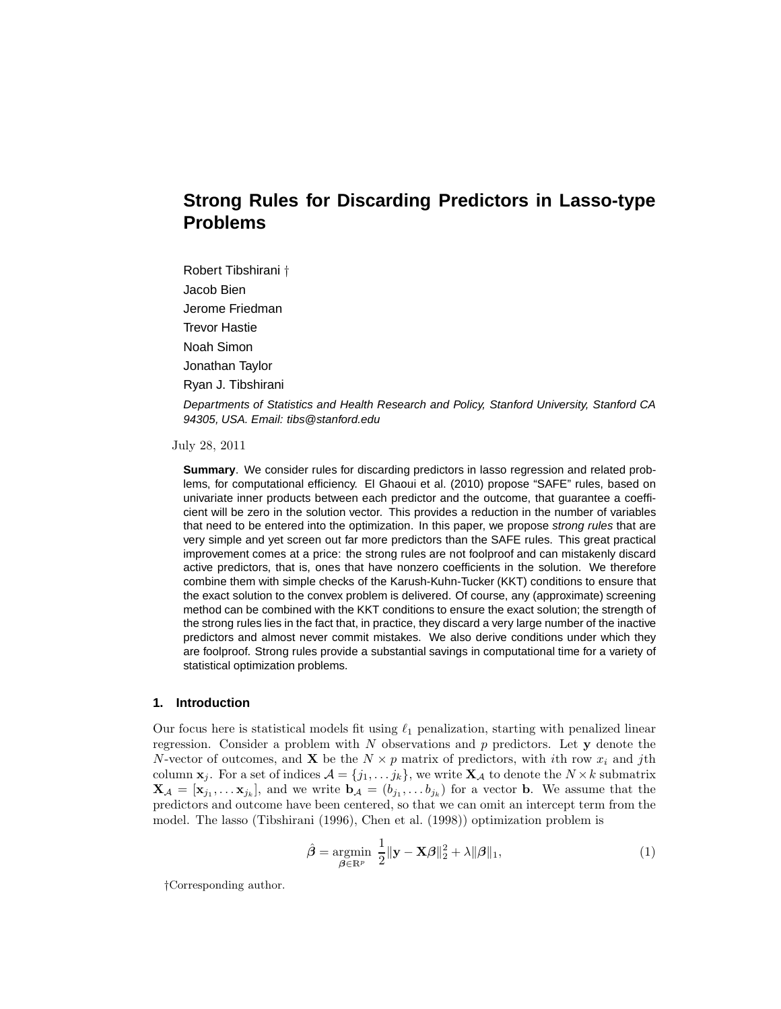# **Strong Rules for Discarding Predictors in Lasso-type Problems**

Robert Tibshirani † Jacob Bien Jerome Friedman Trevor Hastie Noah Simon Jonathan Taylor Ryan J. Tibshirani

Departments of Statistics and Health Research and Policy, Stanford University, Stanford CA 94305, USA. Email: tibs@stanford.edu

July 28, 2011

**Summary**. We consider rules for discarding predictors in lasso regression and related problems, for computational efficiency. El Ghaoui et al. (2010) propose "SAFE" rules, based on univariate inner products between each predictor and the outcome, that guarantee a coefficient will be zero in the solution vector. This provides a reduction in the number of variables that need to be entered into the optimization. In this paper, we propose strong rules that are very simple and yet screen out far more predictors than the SAFE rules. This great practical improvement comes at a price: the strong rules are not foolproof and can mistakenly discard active predictors, that is, ones that have nonzero coefficients in the solution. We therefore combine them with simple checks of the Karush-Kuhn-Tucker (KKT) conditions to ensure that the exact solution to the convex problem is delivered. Of course, any (approximate) screening method can be combined with the KKT conditions to ensure the exact solution; the strength of the strong rules lies in the fact that, in practice, they discard a very large number of the inactive predictors and almost never commit mistakes. We also derive conditions under which they are foolproof. Strong rules provide a substantial savings in computational time for a variety of statistical optimization problems.

## **1. Introduction**

Our focus here is statistical models fit using  $\ell_1$  penalization, starting with penalized linear regression. Consider a problem with  $N$  observations and  $p$  predictors. Let  $y$  denote the N-vector of outcomes, and **X** be the  $N \times p$  matrix of predictors, with ith row  $x_i$  and jth column  $\mathbf{x}_j$ . For a set of indices  $\mathcal{A} = \{j_1, \ldots, j_k\}$ , we write  $\mathbf{X}_{\mathcal{A}}$  to denote the  $N \times k$  submatrix  $\mathbf{X}_{\mathcal{A}} = [\mathbf{x}_{j_1}, \dots \mathbf{x}_{j_k}]$ , and we write  $\mathbf{b}_{\mathcal{A}} = (b_{j_1}, \dots b_{j_k})$  for a vector **b**. We assume that the predictors and outcome have been centered, so that we can omit an intercept term from the model. The lasso (Tibshirani (1996), Chen et al. (1998)) optimization problem is

$$
\hat{\boldsymbol{\beta}} = \underset{\boldsymbol{\beta} \in \mathbb{R}^p}{\operatorname{argmin}} \ \frac{1}{2} ||\mathbf{y} - \mathbf{X}\boldsymbol{\beta}||_2^2 + \lambda ||\boldsymbol{\beta}||_1,\tag{1}
$$

†Corresponding author.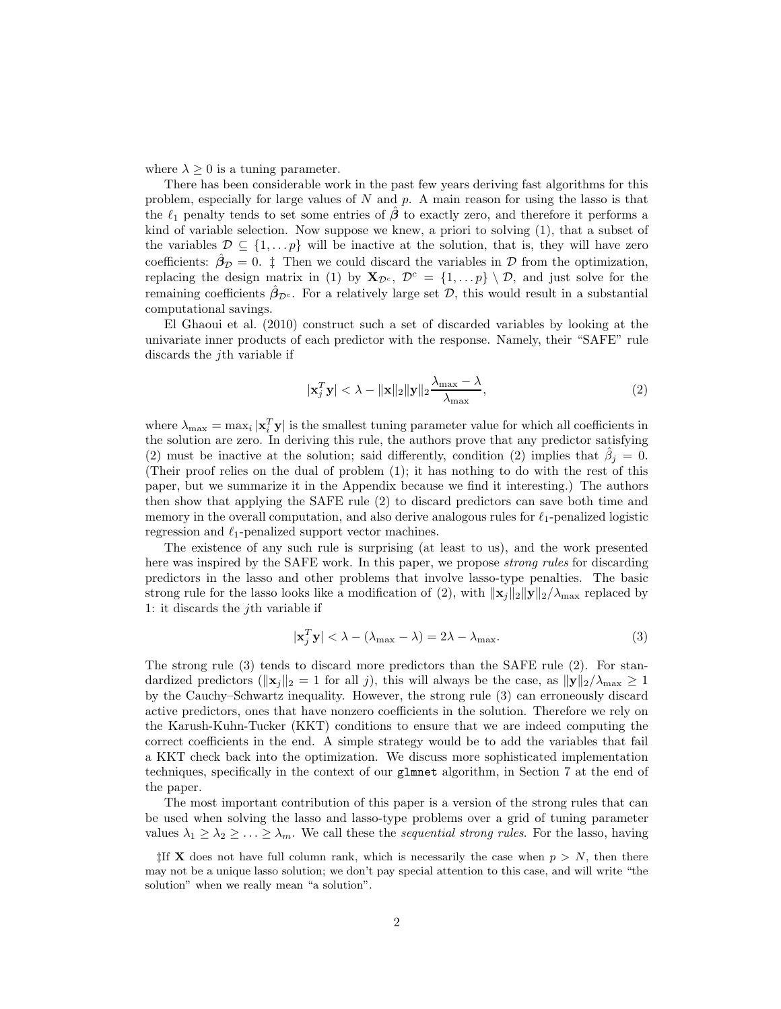where  $\lambda \geq 0$  is a tuning parameter.

There has been considerable work in the past few years deriving fast algorithms for this problem, especially for large values of  $N$  and  $p$ . A main reason for using the lasso is that the  $\ell_1$  penalty tends to set some entries of  $\beta$  to exactly zero, and therefore it performs a kind of variable selection. Now suppose we knew, a priori to solving (1), that a subset of the variables  $\mathcal{D} \subseteq \{1, \ldots, p\}$  will be inactive at the solution, that is, they will have zero coefficients:  $\hat{\beta}_D = 0$ . ‡ Then we could discard the variables in D from the optimization, replacing the design matrix in (1) by  $\mathbf{X}_{\mathcal{D}^c}$ ,  $\mathcal{D}^c = \{1, \ldots p\} \setminus \mathcal{D}$ , and just solve for the remaining coefficients  $\hat{\beta}_{\mathcal{D}^c}$ . For a relatively large set  $\mathcal{D}$ , this would result in a substantial computational savings.

El Ghaoui et al. (2010) construct such a set of discarded variables by looking at the univariate inner products of each predictor with the response. Namely, their "SAFE" rule discards the jth variable if

$$
|\mathbf{x}_j^T \mathbf{y}| < \lambda - \|\mathbf{x}\|_2 \|\mathbf{y}\|_2 \frac{\lambda_{\max} - \lambda}{\lambda_{\max}},
$$
\n(2)

where  $\lambda_{\max} = \max_i |\mathbf{x}_i^T \mathbf{y}|$  is the smallest tuning parameter value for which all coefficients in the solution are zero. In deriving this rule, the authors prove that any predictor satisfying (2) must be inactive at the solution; said differently, condition (2) implies that  $\hat{\beta}_j = 0$ . (Their proof relies on the dual of problem (1); it has nothing to do with the rest of this paper, but we summarize it in the Appendix because we find it interesting.) The authors then show that applying the SAFE rule (2) to discard predictors can save both time and memory in the overall computation, and also derive analogous rules for  $\ell_1$ -penalized logistic regression and  $\ell_1$ -penalized support vector machines.

The existence of any such rule is surprising (at least to us), and the work presented here was inspired by the SAFE work. In this paper, we propose *strong rules* for discarding predictors in the lasso and other problems that involve lasso-type penalties. The basic strong rule for the lasso looks like a modification of (2), with  $\|\mathbf{x}_j\|_2 \|\mathbf{y}\|_2/\lambda_{\max}$  replaced by 1: it discards the  $j$ <sup>th</sup> variable if

$$
|\mathbf{x}_j^T \mathbf{y}| < \lambda - (\lambda_{\text{max}} - \lambda) = 2\lambda - \lambda_{\text{max}}.\tag{3}
$$

The strong rule (3) tends to discard more predictors than the SAFE rule (2). For standardized predictors ( $\|\mathbf{x}_i\|_2 = 1$  for all j), this will always be the case, as  $\|\mathbf{y}\|_2/\lambda_{\max} \geq 1$ by the Cauchy–Schwartz inequality. However, the strong rule (3) can erroneously discard active predictors, ones that have nonzero coefficients in the solution. Therefore we rely on the Karush-Kuhn-Tucker (KKT) conditions to ensure that we are indeed computing the correct coefficients in the end. A simple strategy would be to add the variables that fail a KKT check back into the optimization. We discuss more sophisticated implementation techniques, specifically in the context of our glmnet algorithm, in Section 7 at the end of the paper.

The most important contribution of this paper is a version of the strong rules that can be used when solving the lasso and lasso-type problems over a grid of tuning parameter values  $\lambda_1 \geq \lambda_2 \geq \ldots \geq \lambda_m$ . We call these the sequential strong rules. For the lasso, having

 $\sharp$ If **X** does not have full column rank, which is necessarily the case when  $p > N$ , then there may not be a unique lasso solution; we don't pay special attention to this case, and will write "the solution" when we really mean "a solution".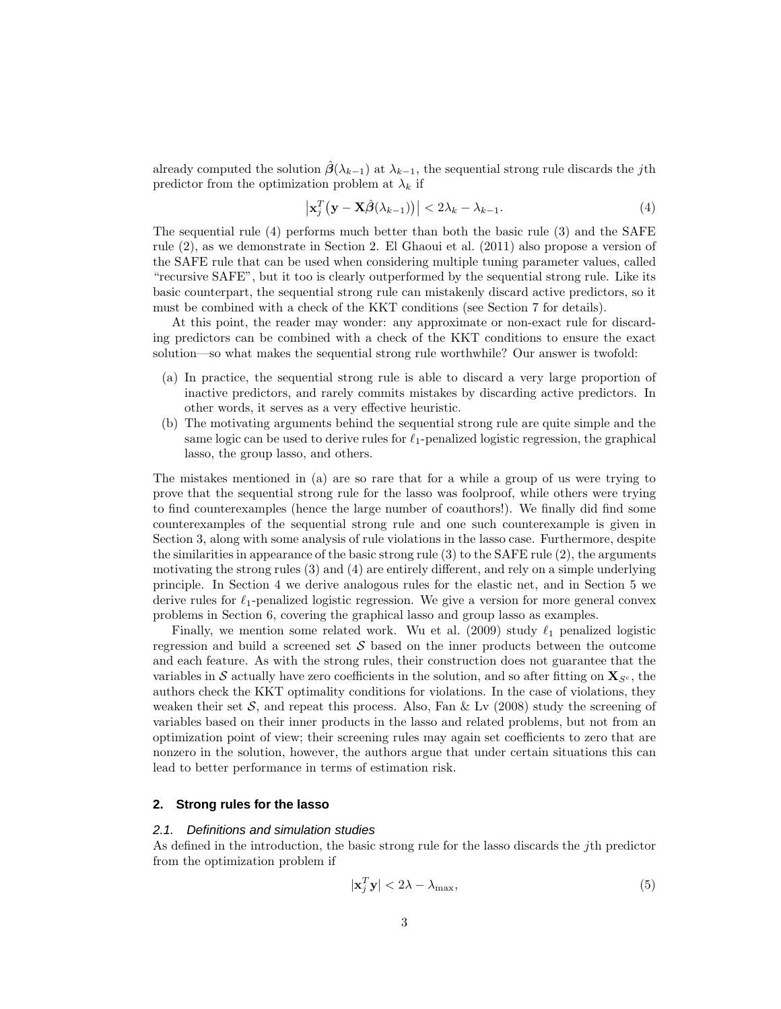already computed the solution  $\hat{\beta}(\lambda_{k-1})$  at  $\lambda_{k-1}$ , the sequential strong rule discards the jth predictor from the optimization problem at  $\lambda_k$  if

$$
\left|\mathbf{x}_{j}^{T}\left(\mathbf{y}-\mathbf{X}\hat{\boldsymbol{\beta}}(\lambda_{k-1})\right)\right| < 2\lambda_{k} - \lambda_{k-1}.
$$
\n(4)

The sequential rule (4) performs much better than both the basic rule (3) and the SAFE rule (2), as we demonstrate in Section 2. El Ghaoui et al. (2011) also propose a version of the SAFE rule that can be used when considering multiple tuning parameter values, called "recursive SAFE", but it too is clearly outperformed by the sequential strong rule. Like its basic counterpart, the sequential strong rule can mistakenly discard active predictors, so it must be combined with a check of the KKT conditions (see Section 7 for details).

At this point, the reader may wonder: any approximate or non-exact rule for discarding predictors can be combined with a check of the KKT conditions to ensure the exact solution—so what makes the sequential strong rule worthwhile? Our answer is twofold:

- (a) In practice, the sequential strong rule is able to discard a very large proportion of inactive predictors, and rarely commits mistakes by discarding active predictors. In other words, it serves as a very effective heuristic.
- (b) The motivating arguments behind the sequential strong rule are quite simple and the same logic can be used to derive rules for  $\ell_1$ -penalized logistic regression, the graphical lasso, the group lasso, and others.

The mistakes mentioned in (a) are so rare that for a while a group of us were trying to prove that the sequential strong rule for the lasso was foolproof, while others were trying to find counterexamples (hence the large number of coauthors!). We finally did find some counterexamples of the sequential strong rule and one such counterexample is given in Section 3, along with some analysis of rule violations in the lasso case. Furthermore, despite the similarities in appearance of the basic strong rule  $(3)$  to the SAFE rule  $(2)$ , the arguments motivating the strong rules (3) and (4) are entirely different, and rely on a simple underlying principle. In Section 4 we derive analogous rules for the elastic net, and in Section 5 we derive rules for  $\ell_1$ -penalized logistic regression. We give a version for more general convex problems in Section 6, covering the graphical lasso and group lasso as examples.

Finally, we mention some related work. Wu et al. (2009) study  $\ell_1$  penalized logistic regression and build a screened set  $\mathcal S$  based on the inner products between the outcome and each feature. As with the strong rules, their construction does not guarantee that the variables in S actually have zero coefficients in the solution, and so after fitting on  $\mathbf{X}_{S^c}$ , the authors check the KKT optimality conditions for violations. In the case of violations, they weaken their set S, and repeat this process. Also, Fan & Lv  $(2008)$  study the screening of variables based on their inner products in the lasso and related problems, but not from an optimization point of view; their screening rules may again set coefficients to zero that are nonzero in the solution, however, the authors argue that under certain situations this can lead to better performance in terms of estimation risk.

# **2. Strong rules for the lasso**

#### 2.1. Definitions and simulation studies

As defined in the introduction, the basic strong rule for the lasso discards the jth predictor from the optimization problem if

$$
|\mathbf{x}_j^T \mathbf{y}| < 2\lambda - \lambda_{\text{max}},\tag{5}
$$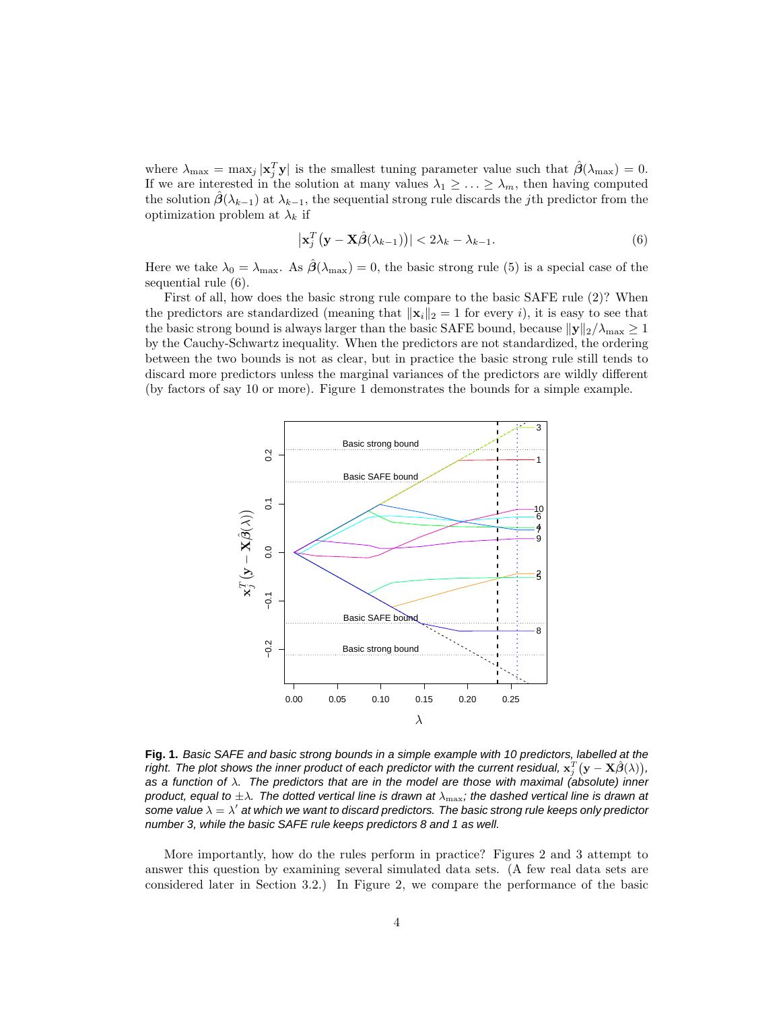where  $\lambda_{\max} = \max_j |\mathbf{x}_j^T \mathbf{y}|$  is the smallest tuning parameter value such that  $\hat{\boldsymbol{\beta}}(\lambda_{\max}) = 0$ . If we are interested in the solution at many values  $\lambda_1 \geq \ldots \geq \lambda_m$ , then having computed the solution  $\beta(\lambda_{k-1})$  at  $\lambda_{k-1}$ , the sequential strong rule discards the jth predictor from the optimization problem at  $\lambda_k$  if

$$
\left|\mathbf{x}_{j}^{T}\left(\mathbf{y}-\mathbf{X}\hat{\boldsymbol{\beta}}(\lambda_{k-1})\right)\right| < 2\lambda_{k} - \lambda_{k-1}.\tag{6}
$$

Here we take  $\lambda_0 = \lambda_{\text{max}}$ . As  $\hat{\beta}(\lambda_{\text{max}}) = 0$ , the basic strong rule (5) is a special case of the sequential rule (6).

First of all, how does the basic strong rule compare to the basic SAFE rule (2)? When the predictors are standardized (meaning that  $||\mathbf{x}_i||_2 = 1$  for every i), it is easy to see that the basic strong bound is always larger than the basic SAFE bound, because  $\|\mathbf{y}\|_2/\lambda_{\max} \geq 1$ by the Cauchy-Schwartz inequality. When the predictors are not standardized, the ordering between the two bounds is not as clear, but in practice the basic strong rule still tends to discard more predictors unless the marginal variances of the predictors are wildly different (by factors of say 10 or more). Figure 1 demonstrates the bounds for a simple example.



**Fig. 1.** Basic SAFE and basic strong bounds in a simple example with 10 predictors, labelled at the right. The plot shows the inner product of each predictor with the current residual,  $\mathbf{x}_j^T(\mathbf{y}-\mathbf{X}\hat{\boldsymbol{\beta}}(\lambda)),$ as a function of  $\lambda$ . The predictors that are in the model are those with maximal (absolute) inner product, equal to  $\pm\lambda$ . The dotted vertical line is drawn at  $\lambda_{\text{max}}$ ; the dashed vertical line is drawn at some value  $\lambda=\lambda'$  at which we want to discard predictors. The basic strong rule keeps only predictor number 3, while the basic SAFE rule keeps predictors 8 and 1 as well.

More importantly, how do the rules perform in practice? Figures 2 and 3 attempt to answer this question by examining several simulated data sets. (A few real data sets are considered later in Section 3.2.) In Figure 2, we compare the performance of the basic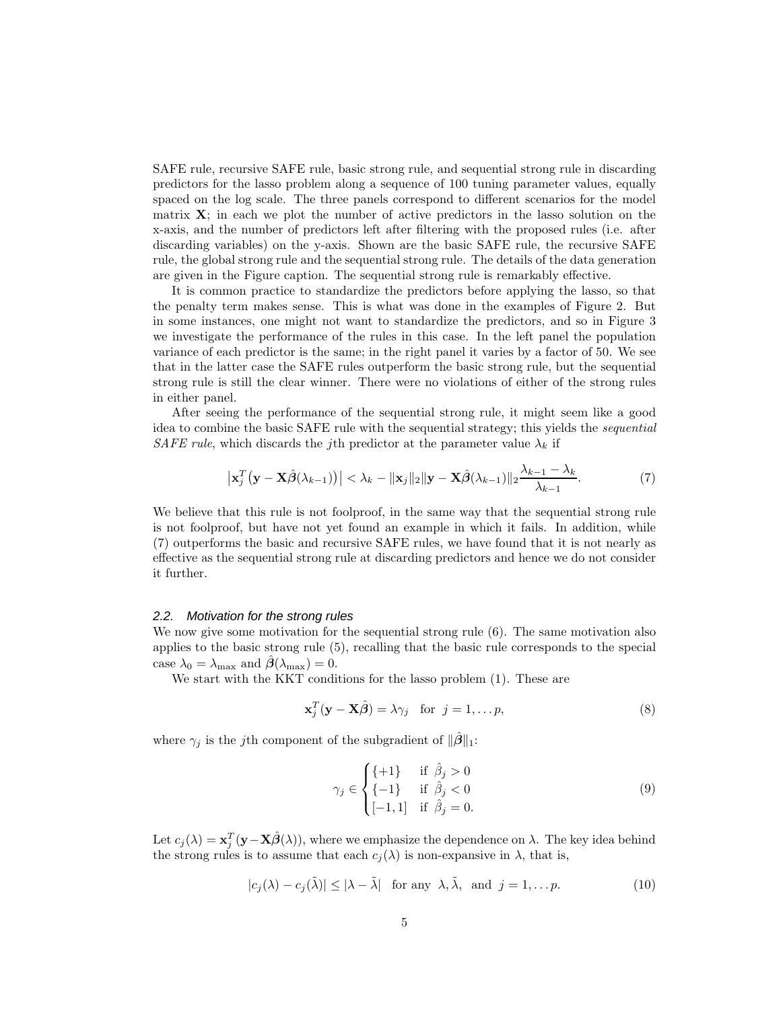SAFE rule, recursive SAFE rule, basic strong rule, and sequential strong rule in discarding predictors for the lasso problem along a sequence of 100 tuning parameter values, equally spaced on the log scale. The three panels correspond to different scenarios for the model matrix  $X$ ; in each we plot the number of active predictors in the lasso solution on the x-axis, and the number of predictors left after filtering with the proposed rules (i.e. after discarding variables) on the y-axis. Shown are the basic SAFE rule, the recursive SAFE rule, the global strong rule and the sequential strong rule. The details of the data generation are given in the Figure caption. The sequential strong rule is remarkably effective.

It is common practice to standardize the predictors before applying the lasso, so that the penalty term makes sense. This is what was done in the examples of Figure 2. But in some instances, one might not want to standardize the predictors, and so in Figure 3 we investigate the performance of the rules in this case. In the left panel the population variance of each predictor is the same; in the right panel it varies by a factor of 50. We see that in the latter case the SAFE rules outperform the basic strong rule, but the sequential strong rule is still the clear winner. There were no violations of either of the strong rules in either panel.

After seeing the performance of the sequential strong rule, it might seem like a good idea to combine the basic SAFE rule with the sequential strategy; this yields the sequential SAFE rule, which discards the jth predictor at the parameter value  $\lambda_k$  if

$$
\left|\mathbf{x}_j^T\left(\mathbf{y}-\mathbf{X}\hat{\boldsymbol{\beta}}(\lambda_{k-1})\right)\right| < \lambda_k - \|\mathbf{x}_j\|_2 \|\mathbf{y}-\mathbf{X}\hat{\boldsymbol{\beta}}(\lambda_{k-1})\|_2 \frac{\lambda_{k-1} - \lambda_k}{\lambda_{k-1}}.\tag{7}
$$

We believe that this rule is not foolproof, in the same way that the sequential strong rule is not foolproof, but have not yet found an example in which it fails. In addition, while (7) outperforms the basic and recursive SAFE rules, we have found that it is not nearly as effective as the sequential strong rule at discarding predictors and hence we do not consider it further.

#### 2.2. Motivation for the strong rules

We now give some motivation for the sequential strong rule  $(6)$ . The same motivation also applies to the basic strong rule (5), recalling that the basic rule corresponds to the special case  $\lambda_0 = \lambda_{\text{max}}$  and  $\hat{\boldsymbol{\beta}}(\lambda_{\text{max}}) = 0$ .

We start with the KKT conditions for the lasso problem (1). These are

$$
\mathbf{x}_j^T(\mathbf{y} - \mathbf{X}\hat{\boldsymbol{\beta}}) = \lambda \gamma_j \quad \text{for} \ \ j = 1, \dots p,\tag{8}
$$

where  $\gamma_j$  is the j<sup>th</sup> component of the subgradient of  $\|\boldsymbol{\beta}\|_1$ :

$$
\gamma_j \in \begin{cases} \{+1\} & \text{if } \hat{\beta}_j > 0\\ \{-1\} & \text{if } \hat{\beta}_j < 0\\ [-1, 1] & \text{if } \hat{\beta}_j = 0. \end{cases} \tag{9}
$$

Let  $c_j(\lambda) = \mathbf{x}_j^T(\mathbf{y} - \mathbf{X}\hat{\boldsymbol{\beta}}(\lambda))$ , where we emphasize the dependence on  $\lambda$ . The key idea behind the strong rules is to assume that each  $c_j(\lambda)$  is non-expansive in  $\lambda$ , that is,

$$
|c_j(\lambda) - c_j(\tilde{\lambda})| \le |\lambda - \tilde{\lambda}| \text{ for any } \lambda, \tilde{\lambda}, \text{ and } j = 1, \dots p. \tag{10}
$$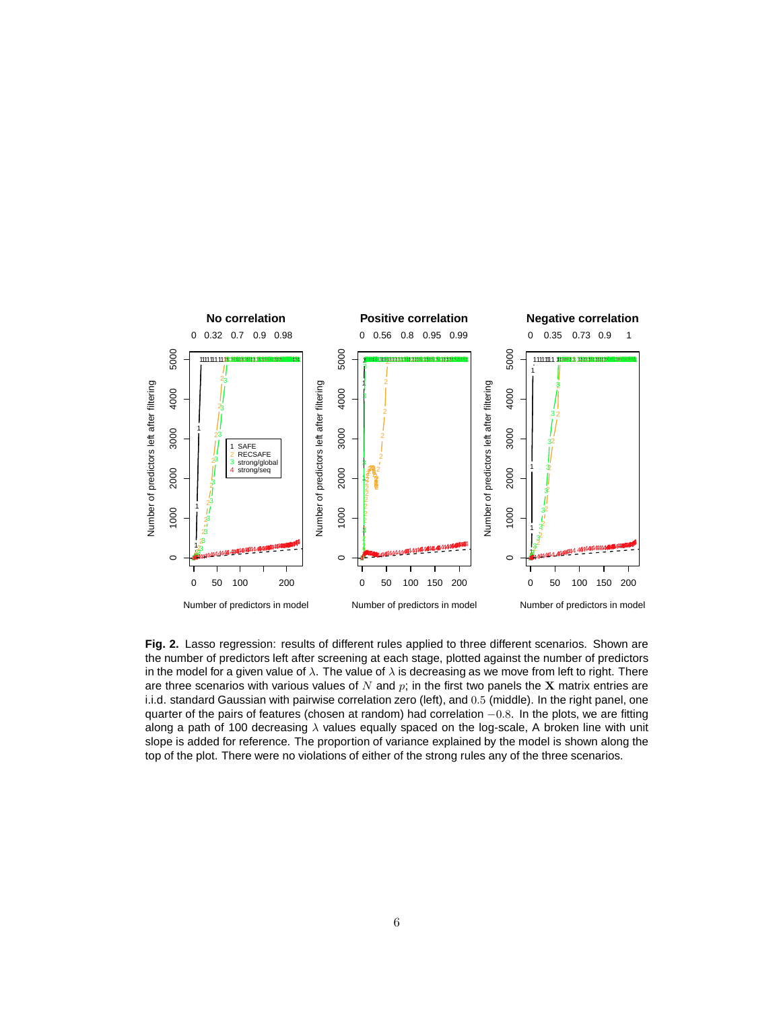

**Fig. 2.** Lasso regression: results of different rules applied to three different scenarios. Shown are the number of predictors left after screening at each stage, plotted against the number of predictors in the model for a given value of  $\lambda$ . The value of  $\lambda$  is decreasing as we move from left to right. There are three scenarios with various values of  $N$  and  $p$ ; in the first two panels the X matrix entries are i.i.d. standard Gaussian with pairwise correlation zero (left), and 0.5 (middle). In the right panel, one quarter of the pairs of features (chosen at random) had correlation  $-0.8$ . In the plots, we are fitting along a path of 100 decreasing  $\lambda$  values equally spaced on the log-scale, A broken line with unit slope is added for reference. The proportion of variance explained by the model is shown along the top of the plot. There were no violations of either of the strong rules any of the three scenarios.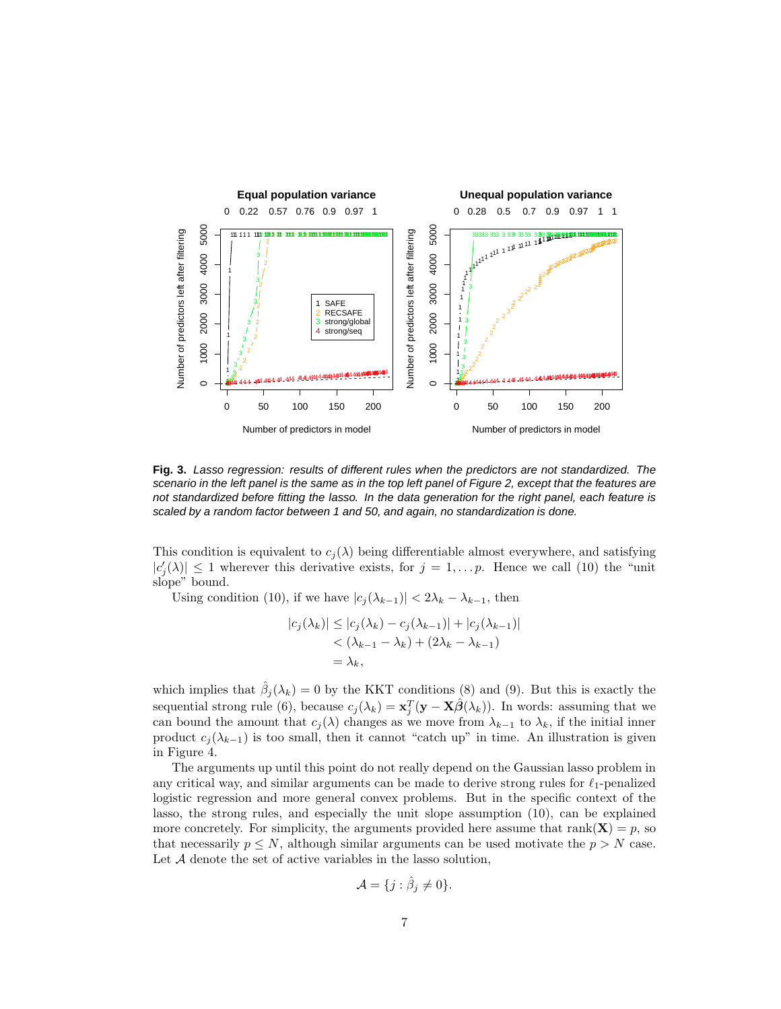

**Fig. 3.** Lasso regression: results of different rules when the predictors are not standardized. The scenario in the left panel is the same as in the top left panel of Figure 2, except that the features are not standardized before fitting the lasso. In the data generation for the right panel, each feature is scaled by a random factor between 1 and 50, and again, no standardization is done.

This condition is equivalent to  $c_j(\lambda)$  being differentiable almost everywhere, and satisfying  $|c_j'(\lambda)| \leq 1$  wherever this derivative exists, for  $j = 1, \ldots p$ . Hence we call (10) the "unit" slope" bound.

Using condition (10), if we have  $|c_j(\lambda_{k-1})| < 2\lambda_k - \lambda_{k-1}$ , then

$$
|c_j(\lambda_k)| \le |c_j(\lambda_k) - c_j(\lambda_{k-1})| + |c_j(\lambda_{k-1})|
$$
  
<  $(\lambda_{k-1} - \lambda_k) + (2\lambda_k - \lambda_{k-1})$   
 $= \lambda_k,$ 

which implies that  $\hat{\beta}_j(\lambda_k) = 0$  by the KKT conditions (8) and (9). But this is exactly the sequential strong rule (6), because  $c_j(\lambda_k) = \mathbf{x}_j^T(\mathbf{y} - \mathbf{X}\hat{\beta}(\lambda_k))$ . In words: assuming that we can bound the amount that  $c_j(\lambda)$  changes as we move from  $\lambda_{k-1}$  to  $\lambda_k$ , if the initial inner product  $c_j(\lambda_{k-1})$  is too small, then it cannot "catch up" in time. An illustration is given in Figure 4.

The arguments up until this point do not really depend on the Gaussian lasso problem in any critical way, and similar arguments can be made to derive strong rules for  $\ell_1$ -penalized logistic regression and more general convex problems. But in the specific context of the lasso, the strong rules, and especially the unit slope assumption (10), can be explained more concretely. For simplicity, the arguments provided here assume that rank( $X$ ) = p, so that necessarily  $p \leq N$ , although similar arguments can be used motivate the  $p > N$  case. Let A denote the set of active variables in the lasso solution,

$$
\mathcal{A} = \{j : \hat{\beta}_j \neq 0\}.
$$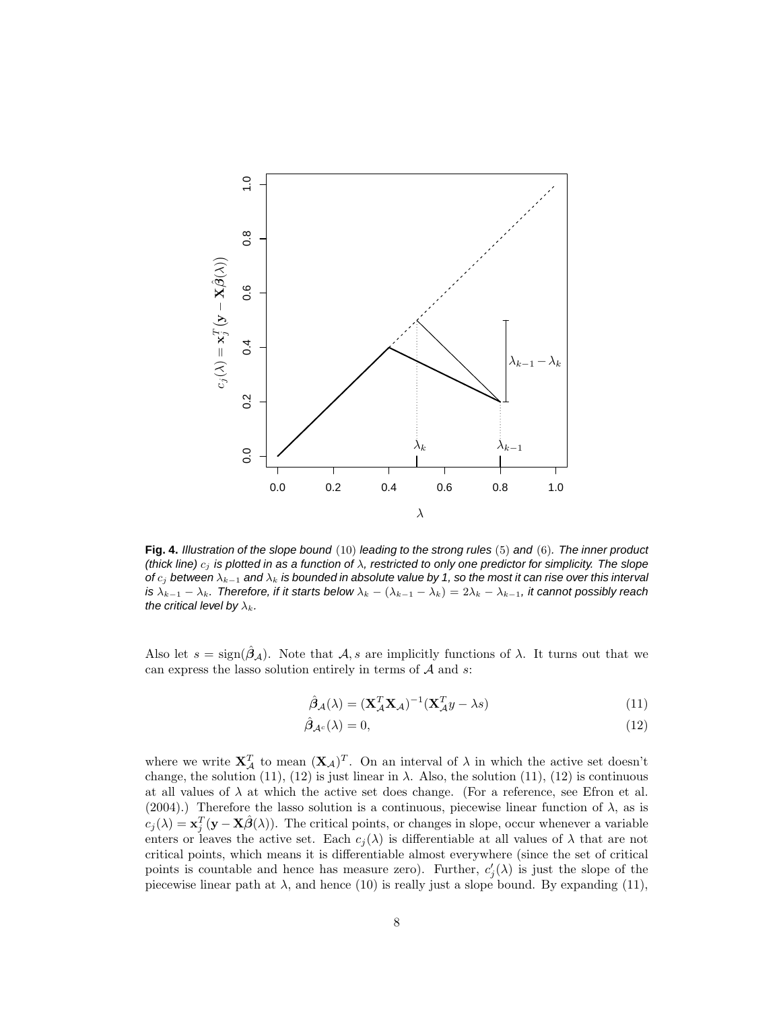

**Fig. 4.** Illustration of the slope bound (10) leading to the strong rules (5) and (6). The inner product (thick line)  $c_i$  is plotted in as a function of  $\lambda$ , restricted to only one predictor for simplicity. The slope of  $c_j$  between  $\lambda_{k-1}$  and  $\lambda_k$  is bounded in absolute value by 1, so the most it can rise over this interval is  $\lambda_{k-1} - \lambda_k$ . Therefore, if it starts below  $\lambda_k - (\lambda_{k-1} - \lambda_k) = 2\lambda_k - \lambda_{k-1}$ , it cannot possibly reach the critical level by  $\lambda_k$ .

Also let  $s = sign(\hat{\beta}_A)$ . Note that  $\hat{\beta}_A$ , are implicitly functions of  $\lambda$ . It turns out that we can express the lasso solution entirely in terms of  $A$  and  $s$ :

$$
\hat{\beta}_{\mathcal{A}}(\lambda) = (\mathbf{X}_{\mathcal{A}}^T \mathbf{X}_{\mathcal{A}})^{-1} (\mathbf{X}_{\mathcal{A}}^T y - \lambda s)
$$
(11)

$$
\hat{\beta}_{\mathcal{A}^c}(\lambda) = 0,\tag{12}
$$

where we write  $\mathbf{X}_{\mathcal{A}}^T$  to mean  $(\mathbf{X}_{\mathcal{A}})^T$ . On an interval of  $\lambda$  in which the active set doesn't change, the solution (11), (12) is just linear in  $\lambda$ . Also, the solution (11), (12) is continuous at all values of  $\lambda$  at which the active set does change. (For a reference, see Efron et al. (2004).) Therefore the lasso solution is a continuous, piecewise linear function of  $\lambda$ , as is  $c_j(\lambda) = \mathbf{x}_j^T(\mathbf{y} - \mathbf{X}\hat{\boldsymbol{\beta}}(\lambda))$ . The critical points, or changes in slope, occur whenever a variable enters or leaves the active set. Each  $c_i(\lambda)$  is differentiable at all values of  $\lambda$  that are not critical points, which means it is differentiable almost everywhere (since the set of critical points is countable and hence has measure zero). Further,  $c'_{j}(\lambda)$  is just the slope of the piecewise linear path at  $\lambda$ , and hence (10) is really just a slope bound. By expanding (11),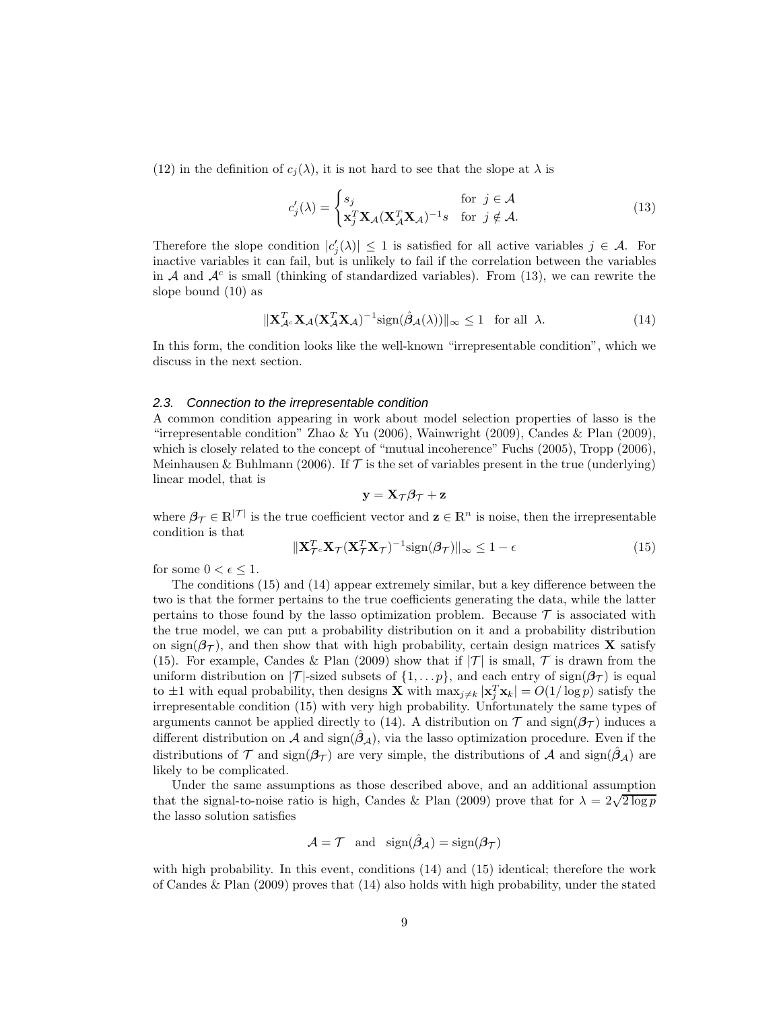(12) in the definition of  $c_i(\lambda)$ , it is not hard to see that the slope at  $\lambda$  is

$$
c'_{j}(\lambda) = \begin{cases} s_{j} & \text{for } j \in \mathcal{A} \\ \mathbf{x}_{j}^{T} \mathbf{X}_{\mathcal{A}} (\mathbf{X}_{\mathcal{A}}^{T} \mathbf{X}_{\mathcal{A}})^{-1} s & \text{for } j \notin \mathcal{A}. \end{cases}
$$
(13)

Therefore the slope condition  $|c_j'(\lambda)| \leq 1$  is satisfied for all active variables  $j \in \mathcal{A}$ . For inactive variables it can fail, but is unlikely to fail if the correlation between the variables in A and  $A<sup>c</sup>$  is small (thinking of standardized variables). From (13), we can rewrite the slope bound (10) as

$$
\|\mathbf{X}_{\mathcal{A}^c}^T \mathbf{X}_{\mathcal{A}} (\mathbf{X}_{\mathcal{A}}^T \mathbf{X}_{\mathcal{A}})^{-1} \text{sign}(\hat{\boldsymbol{\beta}}_{\mathcal{A}}(\lambda))\|_{\infty} \le 1 \quad \text{for all } \lambda.
$$
 (14)

In this form, the condition looks like the well-known "irrepresentable condition", which we discuss in the next section.

#### 2.3. Connection to the irrepresentable condition

A common condition appearing in work about model selection properties of lasso is the "irrepresentable condition" Zhao & Yu (2006), Wainwright (2009), Candes & Plan (2009), which is closely related to the concept of "mutual incoherence" Fuchs (2005), Tropp (2006), Meinhausen & Buhlmann (2006). If  $\mathcal T$  is the set of variables present in the true (underlying) linear model, that is

$$
\mathbf{y} = \mathbf{X}_{\mathcal{T}} \boldsymbol{\beta}_{\mathcal{T}} + \mathbf{z}
$$

where  $\beta_{\mathcal{T}} \in \mathbb{R}^{|\mathcal{T}|}$  is the true coefficient vector and  $\mathbf{z} \in \mathbb{R}^n$  is noise, then the irrepresentable condition is that

$$
\|\mathbf{X}_{\mathcal{T}^c}^T \mathbf{X}_{\mathcal{T}} (\mathbf{X}_{\mathcal{T}}^T \mathbf{X}_{\mathcal{T}})^{-1} \text{sign}(\boldsymbol{\beta}_{\mathcal{T}})\|_{\infty} \le 1 - \epsilon
$$
\n(15)

for some  $0 < \epsilon \leq 1$ .

The conditions (15) and (14) appear extremely similar, but a key difference between the two is that the former pertains to the true coefficients generating the data, while the latter pertains to those found by the lasso optimization problem. Because  $\mathcal T$  is associated with the true model, we can put a probability distribution on it and a probability distribution on sign( $\beta_{\mathcal{T}}$ ), and then show that with high probability, certain design matrices **X** satisfy (15). For example, Candes & Plan (2009) show that if  $|\mathcal{T}|$  is small,  $\mathcal T$  is drawn from the uniform distribution on  $|\mathcal{T}|$ -sized subsets of  $\{1,\ldots,p\}$ , and each entry of sign $(\beta_{\mathcal{T}})$  is equal to  $\pm 1$  with equal probability, then designs **X** with  $\max_{j\neq k} |\mathbf{x}_j^T \mathbf{x}_k| = O(1/\log p)$  satisfy the irrepresentable condition (15) with very high probability. Unfortunately the same types of arguments cannot be applied directly to (14). A distribution on  $\mathcal T$  and sign( $\beta_{\mathcal T}$ ) induces a different distribution on A and sign( $\hat{\beta}_A$ ), via the lasso optimization procedure. Even if the distributions of T and sign $(\beta_{\mathcal{T}})$  are very simple, the distributions of A and sign $(\beta_{\mathcal{A}})$  are likely to be complicated.

Under the same assumptions as those described above, and an additional assumption that the signal-to-noise ratio is high, Candes & Plan (2009) prove that for  $\lambda = 2\sqrt{2 \log p}$ the lasso solution satisfies

$$
\mathcal{A} = \mathcal{T} \quad \text{and} \quad \text{sign}(\hat{\beta}_\mathcal{A}) = \text{sign}(\beta_\mathcal{T})
$$

with high probability. In this event, conditions (14) and (15) identical; therefore the work of Candes & Plan (2009) proves that (14) also holds with high probability, under the stated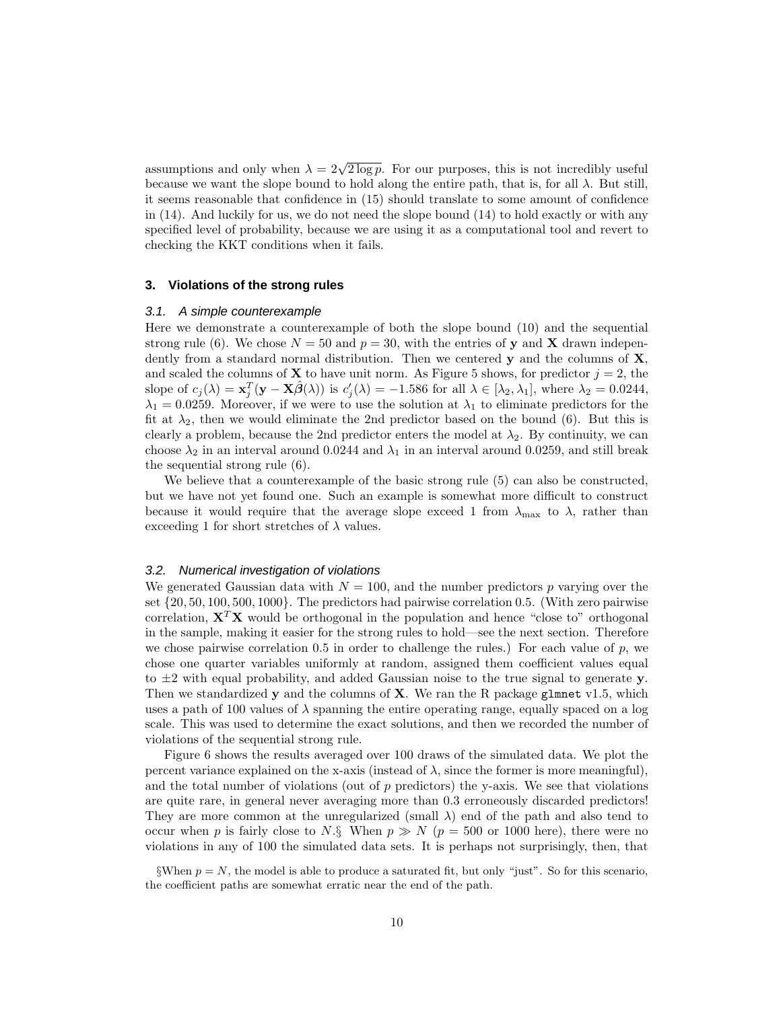assumptions and only when  $\lambda = 2\sqrt{2 \log p}$ . For our purposes, this is not incredibly useful because we want the slope bound to hold along the entire path, that is, for all  $\lambda$ . But still, it seems reasonable that confidence in (15) should translate to some amount of confidence in  $(14)$ . And luckily for us, we do not need the slope bound  $(14)$  to hold exactly or with any specified level of probability, because we are using it as a computational tool and revert to checking the KKT conditions when it fails.

## **3. Violations of the strong rules**

#### 3.1. A simple counterexample

Here we demonstrate a counterexample of both the slope bound (10) and the sequential strong rule (6). We chose  $N = 50$  and  $p = 30$ , with the entries of y and X drawn independently from a standard normal distribution. Then we centered  $y$  and the columns of  $X$ , and scaled the columns of **X** to have unit norm. As Figure 5 shows, for predictor  $j = 2$ , the slope of  $c_j(\lambda) = \mathbf{x}_j^T(\mathbf{y} - \mathbf{X}\hat{\boldsymbol{\beta}}(\lambda))$  is  $c'_j(\lambda) = -1.586$  for all  $\lambda \in [\lambda_2, \lambda_1]$ , where  $\lambda_2 = 0.0244$ ,  $\lambda_1 = 0.0259$ . Moreover, if we were to use the solution at  $\lambda_1$  to eliminate predictors for the fit at  $\lambda_2$ , then we would eliminate the 2nd predictor based on the bound (6). But this is clearly a problem, because the 2nd predictor enters the model at  $\lambda_2$ . By continuity, we can choose  $\lambda_2$  in an interval around 0.0244 and  $\lambda_1$  in an interval around 0.0259, and still break the sequential strong rule (6).

We believe that a counterexample of the basic strong rule (5) can also be constructed, but we have not yet found one. Such an example is somewhat more difficult to construct because it would require that the average slope exceed 1 from  $\lambda_{\text{max}}$  to  $\lambda$ , rather than exceeding 1 for short stretches of  $\lambda$  values.

#### 3.2. Numerical investigation of violations

We generated Gaussian data with  $N = 100$ , and the number predictors p varying over the set  $\{20, 50, 100, 500, 1000\}$ . The predictors had pairwise correlation 0.5. (With zero pairwise correlation,  $X^T X$  would be orthogonal in the population and hence "close to" orthogonal in the sample, making it easier for the strong rules to hold—see the next section. Therefore we chose pairwise correlation 0.5 in order to challenge the rules.) For each value of  $p$ , we chose one quarter variables uniformly at random, assigned them coefficient values equal to  $\pm 2$  with equal probability, and added Gaussian noise to the true signal to generate y. Then we standardized  $y$  and the columns of  $X$ . We ran the R package glmnet v1.5, which uses a path of 100 values of  $\lambda$  spanning the entire operating range, equally spaced on a log scale. This was used to determine the exact solutions, and then we recorded the number of violations of the sequential strong rule.

Figure 6 shows the results averaged over 100 draws of the simulated data. We plot the percent variance explained on the x-axis (instead of  $\lambda$ , since the former is more meaningful), and the total number of violations (out of  $p$  predictors) the y-axis. We see that violations are quite rare, in general never averaging more than 0.3 erroneously discarded predictors! They are more common at the unregularized (small  $\lambda$ ) end of the path and also tend to occur when p is fairly close to N.§ When  $p \gg N$  ( $p = 500$  or 1000 here), there were no violations in any of 100 the simulated data sets. It is perhaps not surprisingly, then, that

<sup>§</sup>When  $p = N$ , the model is able to produce a saturated fit, but only "just". So for this scenario, the coefficient paths are somewhat erratic near the end of the path.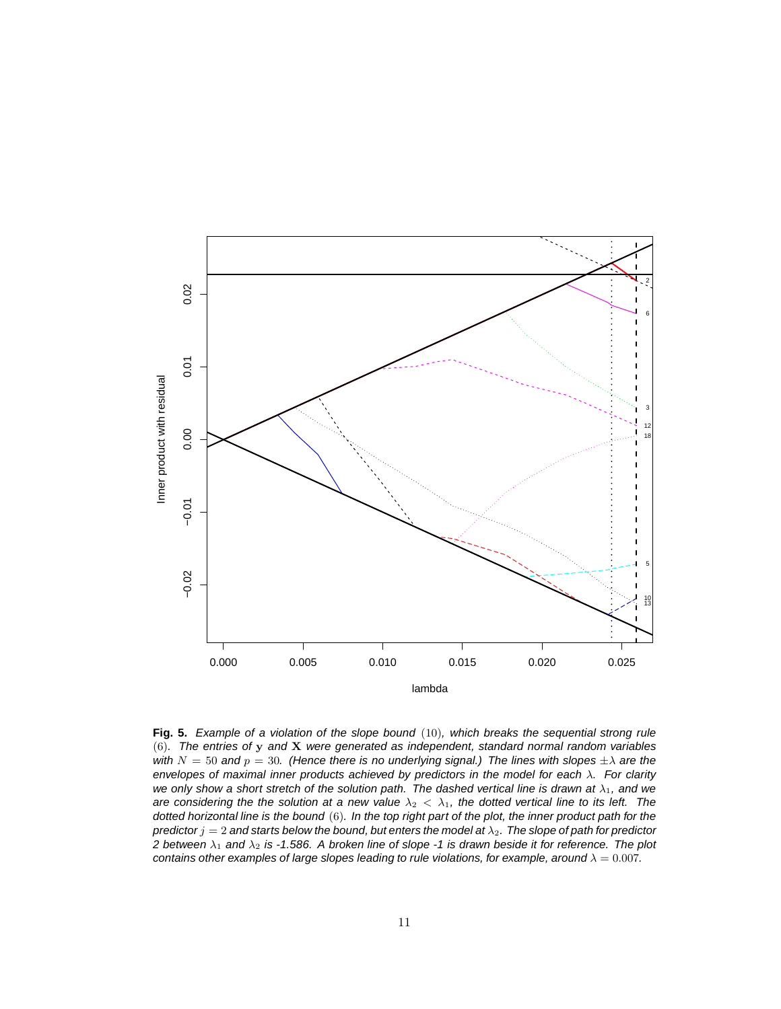

**Fig. 5.** Example of a violation of the slope bound (10), which breaks the sequential strong rule (6). The entries of y and X were generated as independent, standard normal random variables with  $N = 50$  and  $p = 30$ . (Hence there is no underlying signal.) The lines with slopes  $\pm \lambda$  are the envelopes of maximal inner products achieved by predictors in the model for each  $\lambda$ . For clarity we only show a short stretch of the solution path. The dashed vertical line is drawn at  $\lambda_1$ , and we are considering the the solution at a new value  $\lambda_2 < \lambda_1$ , the dotted vertical line to its left. The dotted horizontal line is the bound (6). In the top right part of the plot, the inner product path for the predictor  $j = 2$  and starts below the bound, but enters the model at  $\lambda_2$ . The slope of path for predictor 2 between  $\lambda_1$  and  $\lambda_2$  is -1.586. A broken line of slope -1 is drawn beside it for reference. The plot contains other examples of large slopes leading to rule violations, for example, around  $\lambda = 0.007$ .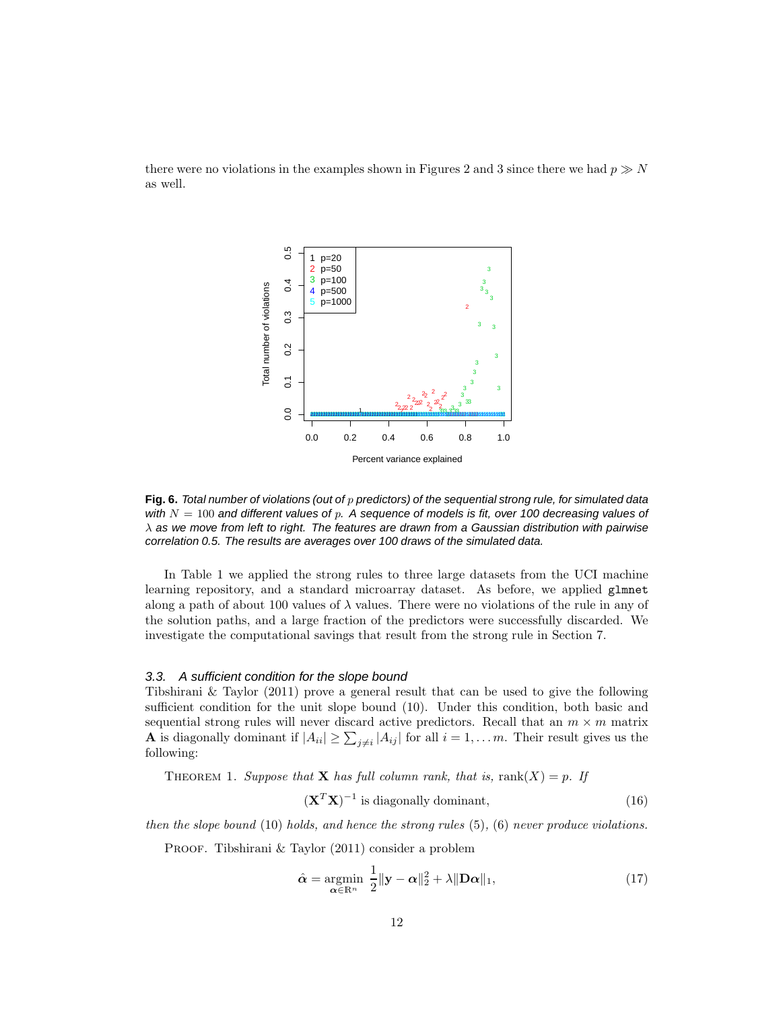



Fig. 6. Total number of violations (out of p predictors) of the sequential strong rule, for simulated data with  $N = 100$  and different values of p. A sequence of models is fit, over 100 decreasing values of  $\lambda$  as we move from left to right. The features are drawn from a Gaussian distribution with pairwise correlation 0.5. The results are averages over 100 draws of the simulated data.

In Table 1 we applied the strong rules to three large datasets from the UCI machine learning repository, and a standard microarray dataset. As before, we applied glmnet along a path of about 100 values of  $\lambda$  values. There were no violations of the rule in any of the solution paths, and a large fraction of the predictors were successfully discarded. We investigate the computational savings that result from the strong rule in Section 7.

#### 3.3. A sufficient condition for the slope bound

Tibshirani & Taylor (2011) prove a general result that can be used to give the following sufficient condition for the unit slope bound (10). Under this condition, both basic and sequential strong rules will never discard active predictors. Recall that an  $m \times m$  matrix **A** is diagonally dominant if  $|A_{ii}| \ge \sum_{j \ne i} |A_{ij}|$  for all  $i = 1, \ldots m$ . Their result gives us the following:

THEOREM 1. Suppose that **X** has full column rank, that is,  $rank(X) = p$ . If

$$
(\mathbf{X}^T \mathbf{X})^{-1}
$$
 is diagonally dominant, (16)

then the slope bound  $(10)$  holds, and hence the strong rules  $(5)$ ,  $(6)$  never produce violations.

PROOF. Tibshirani & Taylor (2011) consider a problem

$$
\hat{\alpha} = \underset{\alpha \in \mathbb{R}^n}{\operatorname{argmin}} \ \frac{1}{2} ||\mathbf{y} - \alpha||_2^2 + \lambda ||\mathbf{D}\alpha||_1,\tag{17}
$$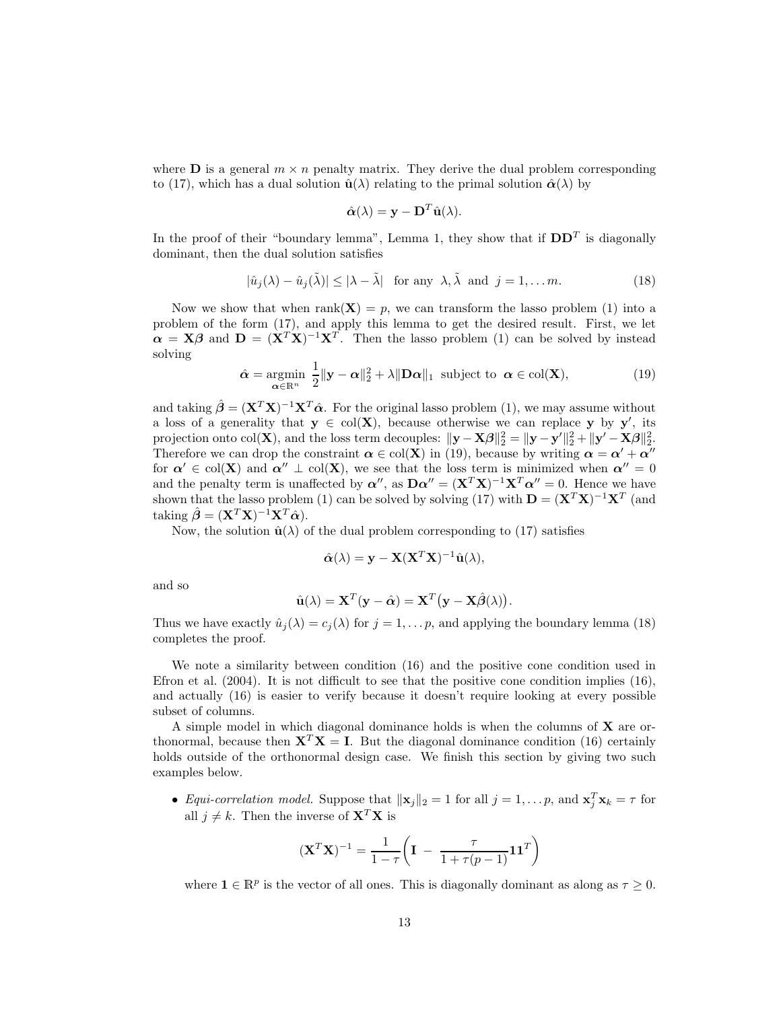where **D** is a general  $m \times n$  penalty matrix. They derive the dual problem corresponding to (17), which has a dual solution  $\hat{\mathbf{u}}(\lambda)$  relating to the primal solution  $\hat{\alpha}(\lambda)$  by

$$
\hat{\boldsymbol{\alpha}}(\lambda) = \mathbf{y} - \mathbf{D}^T \hat{\mathbf{u}}(\lambda).
$$

In the proof of their "boundary lemma", Lemma 1, they show that if  $DD<sup>T</sup>$  is diagonally dominant, then the dual solution satisfies

$$
|\hat{u}_j(\lambda) - \hat{u}_j(\tilde{\lambda})| \le |\lambda - \tilde{\lambda}| \quad \text{for any } \lambda, \tilde{\lambda} \text{ and } j = 1, \dots m. \tag{18}
$$

Now we show that when rank( $X$ ) = p, we can transform the lasso problem (1) into a problem of the form (17), and apply this lemma to get the desired result. First, we let  $\alpha = X\beta$  and  $D = (X^T X)^{-1} X^T$ . Then the lasso problem (1) can be solved by instead solving

$$
\hat{\alpha} = \underset{\alpha \in \mathbb{R}^n}{\operatorname{argmin}} \ \frac{1}{2} \|\mathbf{y} - \alpha\|_2^2 + \lambda \|\mathbf{D}\alpha\|_1 \ \text{subject to} \ \alpha \in \text{col}(\mathbf{X}), \tag{19}
$$

and taking  $\hat{\beta} = (\mathbf{X}^T \mathbf{X})^{-1} \mathbf{X}^T \hat{\boldsymbol{\alpha}}$ . For the original lasso problem (1), we may assume without a loss of a generality that  $y \in col(X)$ , because otherwise we can replace y by y', its projection onto col(**X**), and the loss term decouples:  $\|\mathbf{y} - \mathbf{X}\boldsymbol{\beta}\|_2^2 = \|\mathbf{y} - \mathbf{y}'\|_2^2 + \|\mathbf{y}' - \mathbf{X}\boldsymbol{\beta}\|_2^2$ . Therefore we can drop the constraint  $\alpha \in col(X)$  in (19), because by writing  $\alpha = \alpha' + \alpha''$ for  $\alpha' \in col(X)$  and  $\alpha'' \perp col(X)$ , we see that the loss term is minimized when  $\alpha'' = 0$ and the penalty term is unaffected by  $\alpha''$ , as  $\mathbf{D}\alpha'' = (\mathbf{X}^T\mathbf{X})^{-1}\mathbf{X}^T\alpha'' = 0$ . Hence we have shown that the lasso problem (1) can be solved by solving (17) with  $\mathbf{D} = (\mathbf{X}^T \mathbf{X})^{-1} \mathbf{X}^T$  (and taking  $\hat{\boldsymbol{\beta}} = (\mathbf{X}^T \mathbf{X})^{-1} \mathbf{X}^T \hat{\boldsymbol{\alpha}}$ .

Now, the solution  $\hat{\mathbf{u}}(\lambda)$  of the dual problem corresponding to (17) satisfies

$$
\hat{\alpha}(\lambda) = \mathbf{y} - \mathbf{X} (\mathbf{X}^T \mathbf{X})^{-1} \hat{\mathbf{u}}(\lambda),
$$

and so

$$
\hat{\mathbf{u}}(\lambda) = \mathbf{X}^T(\mathbf{y} - \hat{\boldsymbol{\alpha}}) = \mathbf{X}^T(\mathbf{y} - \mathbf{X}\hat{\boldsymbol{\beta}}(\lambda)).
$$

Thus we have exactly  $\hat{u}_i(\lambda) = c_i(\lambda)$  for  $j = 1, \ldots p$ , and applying the boundary lemma (18) completes the proof.

We note a similarity between condition (16) and the positive cone condition used in Efron et al.  $(2004)$ . It is not difficult to see that the positive cone condition implies  $(16)$ , and actually (16) is easier to verify because it doesn't require looking at every possible subset of columns.

A simple model in which diagonal dominance holds is when the columns of X are orthonormal, because then  $X^T X = I$ . But the diagonal dominance condition (16) certainly holds outside of the orthonormal design case. We finish this section by giving two such examples below.

• *Equi-correlation model.* Suppose that  $\|\mathbf{x}_j\|_2 = 1$  for all  $j = 1, \ldots, p$ , and  $\mathbf{x}_j^T \mathbf{x}_k = \tau$  for all  $j \neq k$ . Then the inverse of  $X^T X$  is

$$
(\mathbf{X}^T \mathbf{X})^{-1} = \frac{1}{1 - \tau} \left( \mathbf{I} - \frac{\tau}{1 + \tau (p - 1)} \mathbf{1} \mathbf{1}^T \right)
$$

where  $\mathbf{1} \in \mathbb{R}^p$  is the vector of all ones. This is diagonally dominant as along as  $\tau \geq 0$ .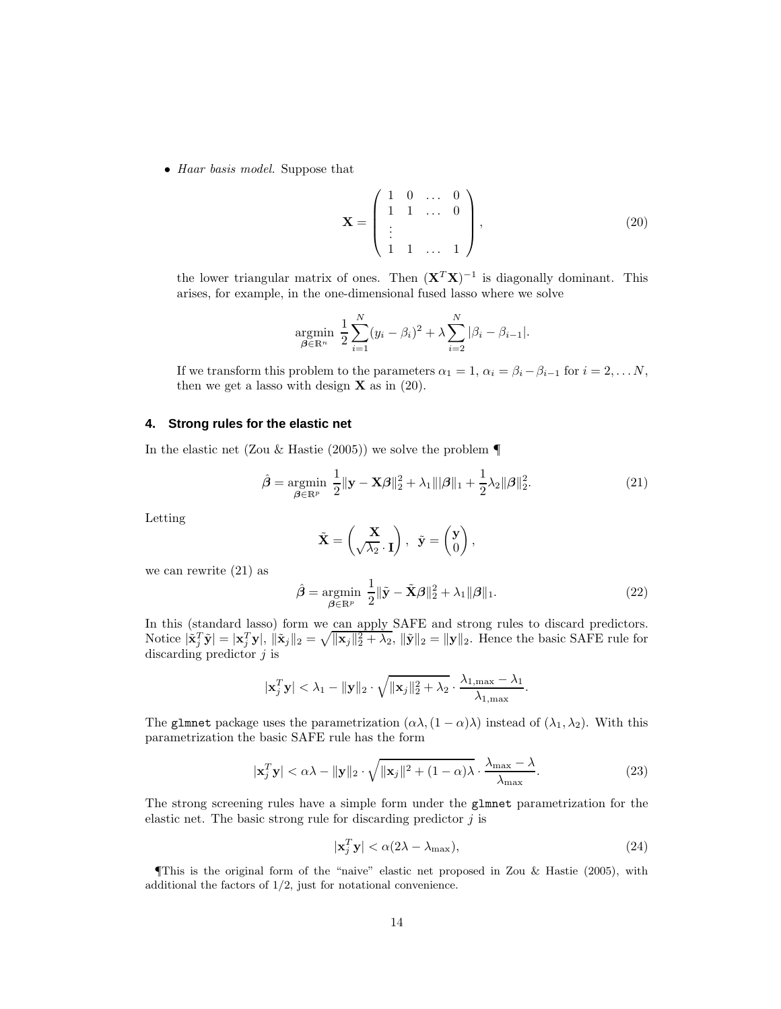• Haar basis model. Suppose that

$$
\mathbf{X} = \begin{pmatrix} 1 & 0 & \dots & 0 \\ 1 & 1 & \dots & 0 \\ \vdots & & & \\ 1 & 1 & \dots & 1 \end{pmatrix}, \tag{20}
$$

the lower triangular matrix of ones. Then  $(X^T X)^{-1}$  is diagonally dominant. This arises, for example, in the one-dimensional fused lasso where we solve

$$
\underset{\beta \in \mathbb{R}^n}{\text{argmin}} \ \frac{1}{2} \sum_{i=1}^N (y_i - \beta_i)^2 + \lambda \sum_{i=2}^N |\beta_i - \beta_{i-1}|.
$$

If we transform this problem to the parameters  $\alpha_1 = 1, \alpha_i = \beta_i - \beta_{i-1}$  for  $i = 2, \ldots N$ , then we get a lasso with design  $X$  as in (20).

## **4. Strong rules for the elastic net**

In the elastic net (Zou & Hastie (2005)) we solve the problem  $\P$ 

$$
\hat{\boldsymbol{\beta}} = \underset{\boldsymbol{\beta} \in \mathbb{R}^p}{\text{argmin}} \ \frac{1}{2} ||\mathbf{y} - \mathbf{X}\boldsymbol{\beta}||_2^2 + \lambda_1 ||\boldsymbol{\beta}||_1 + \frac{1}{2}\lambda_2 ||\boldsymbol{\beta}||_2^2.
$$
 (21)

Letting

$$
\tilde{\mathbf{X}} = \begin{pmatrix} \mathbf{X} \\ \sqrt{\lambda_2} \cdot \mathbf{I} \end{pmatrix}, \ \ \tilde{\mathbf{y}} = \begin{pmatrix} \mathbf{y} \\ 0 \end{pmatrix},
$$

we can rewrite (21) as

$$
\hat{\boldsymbol{\beta}} = \underset{\boldsymbol{\beta} \in \mathbb{R}^p}{\operatorname{argmin}} \ \frac{1}{2} \|\tilde{\mathbf{y}} - \tilde{\mathbf{X}}\boldsymbol{\beta}\|_2^2 + \lambda_1 \|\boldsymbol{\beta}\|_1. \tag{22}
$$

In this (standard lasso) form we can apply SAFE and strong rules to discard predictors. Notice  $|\tilde{\mathbf{x}}_j^T \tilde{\mathbf{y}}| = |\mathbf{x}_j^T \mathbf{y}|, ||\tilde{\mathbf{x}}_j||_2 = \sqrt{\|\mathbf{x}_j\|_2^2 + \lambda_2}, ||\tilde{\mathbf{y}}||_2 = \|\mathbf{y}\|_2$ . Hence the basic SAFE rule for discarding predictor  $j$  is

$$
|\mathbf{x}_j^T \mathbf{y}| < \lambda_1 - \|\mathbf{y}\|_2 \cdot \sqrt{\|\mathbf{x}_j\|_2^2 + \lambda_2} \cdot \frac{\lambda_{1,\max} - \lambda_1}{\lambda_{1,\max}}
$$

The glmnet package uses the parametrization  $(\alpha \lambda, (1 - \alpha) \lambda)$  instead of  $(\lambda_1, \lambda_2)$ . With this parametrization the basic SAFE rule has the form

$$
|\mathbf{x}_j^T \mathbf{y}| < \alpha \lambda - \|\mathbf{y}\|_2 \cdot \sqrt{\|\mathbf{x}_j\|^2 + (1 - \alpha)\lambda} \cdot \frac{\lambda_{\max} - \lambda}{\lambda_{\max}}.
$$
 (23)

The strong screening rules have a simple form under the glmnet parametrization for the elastic net. The basic strong rule for discarding predictor  $j$  is

$$
|\mathbf{x}_j^T \mathbf{y}| < \alpha(2\lambda - \lambda_{\text{max}}),\tag{24}
$$

.

¶This is the original form of the "naive" elastic net proposed in Zou & Hastie (2005), with additional the factors of 1/2, just for notational convenience.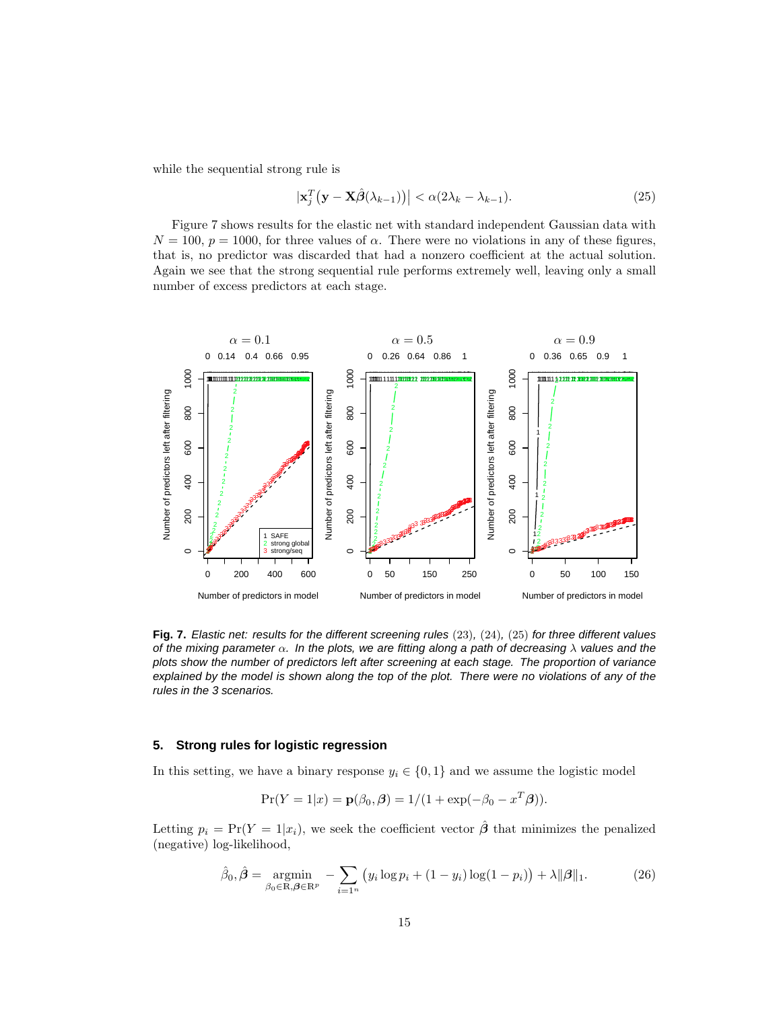while the sequential strong rule is

$$
\left|\mathbf{x}_{j}^{T}\left(\mathbf{y}-\mathbf{X}\hat{\beta}(\lambda_{k-1})\right)\right|<\alpha(2\lambda_{k}-\lambda_{k-1}).
$$
\n(25)

Figure 7 shows results for the elastic net with standard independent Gaussian data with  $N = 100, p = 1000$ , for three values of  $\alpha$ . There were no violations in any of these figures, that is, no predictor was discarded that had a nonzero coefficient at the actual solution. Again we see that the strong sequential rule performs extremely well, leaving only a small number of excess predictors at each stage.



**Fig. 7.** Elastic net: results for the different screening rules (23), (24), (25) for three different values of the mixing parameter  $\alpha$ . In the plots, we are fitting along a path of decreasing  $\lambda$  values and the plots show the number of predictors left after screening at each stage. The proportion of variance explained by the model is shown along the top of the plot. There were no violations of any of the rules in the 3 scenarios.

#### **5. Strong rules for logistic regression**

In this setting, we have a binary response  $y_i \in \{0, 1\}$  and we assume the logistic model

$$
Pr(Y = 1|x) = p(\beta_0, \beta) = 1/(1 + exp(-\beta_0 - x^T \beta)).
$$

Letting  $p_i = \Pr(Y = 1 | x_i)$ , we seek the coefficient vector  $\hat{\beta}$  that minimizes the penalized (negative) log-likelihood,

$$
\hat{\beta}_0, \hat{\boldsymbol{\beta}} = \underset{\beta_0 \in \mathbb{R}, \boldsymbol{\beta} \in \mathbb{R}^p}{\text{argmin}} - \sum_{i=1^n} (y_i \log p_i + (1 - y_i) \log(1 - p_i)) + \lambda ||\boldsymbol{\beta}||_1. \tag{26}
$$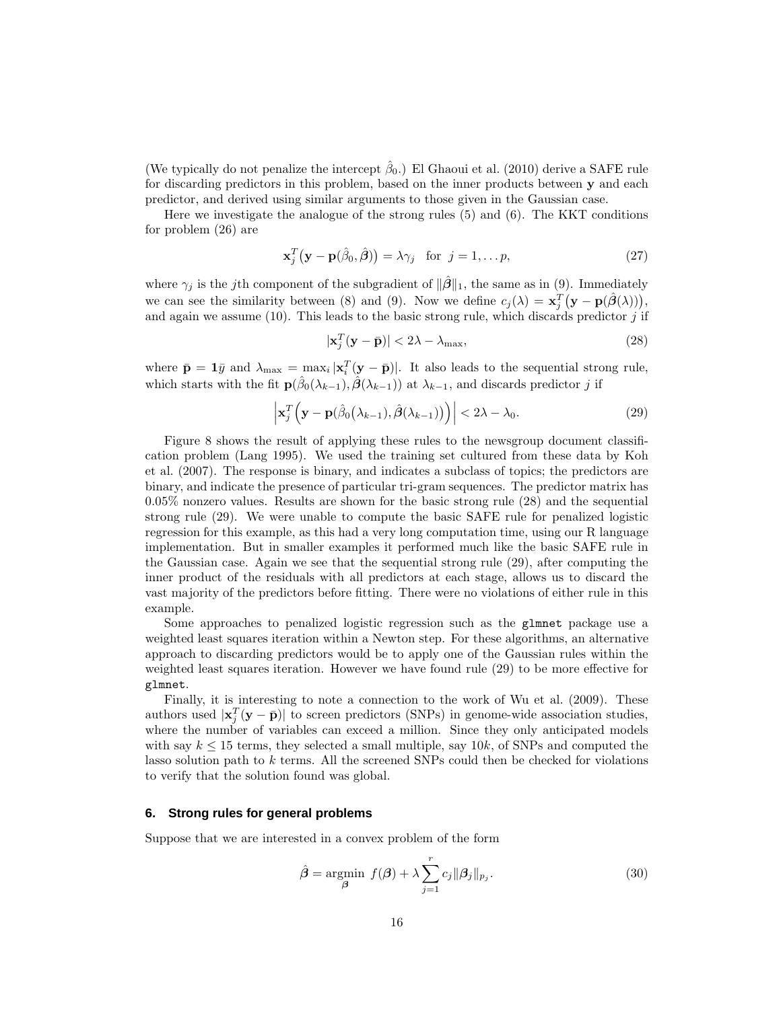(We typically do not penalize the intercept  $\hat{\beta}_0$ .) El Ghaoui et al. (2010) derive a SAFE rule for discarding predictors in this problem, based on the inner products between y and each predictor, and derived using similar arguments to those given in the Gaussian case.

Here we investigate the analogue of the strong rules (5) and (6). The KKT conditions for problem (26) are

$$
\mathbf{x}_j^T(\mathbf{y} - \mathbf{p}(\hat{\beta}_0, \hat{\boldsymbol{\beta}})) = \lambda \gamma_j \quad \text{for} \quad j = 1, \dots p,
$$
 (27)

where  $\gamma_i$  is the jth component of the subgradient of  $\|\hat{\beta}\|_1$ , the same as in (9). Immediately we can see the similarity between (8) and (9). Now we define  $c_j(\lambda) = \mathbf{x}_j^T(\mathbf{y} - \mathbf{p}(\hat{\boldsymbol{\beta}}(\lambda)))$ , and again we assume  $(10)$ . This leads to the basic strong rule, which discards predictor j if

$$
|\mathbf{x}_j^T(\mathbf{y} - \bar{\mathbf{p}})| < 2\lambda - \lambda_{\max},
$$
\n(28)

where  $\bar{\mathbf{p}} = \mathbf{1}\bar{y}$  and  $\lambda_{\max} = \max_i |\mathbf{x}_i^T(\mathbf{y} - \bar{\mathbf{p}})|$ . It also leads to the sequential strong rule, which starts with the fit  $\mathbf{p}(\hat{\beta}_0(\lambda_{k-1}), \hat{\boldsymbol{\beta}}(\lambda_{k-1}))$  at  $\lambda_{k-1}$ , and discards predictor j if

$$
\left| \mathbf{x}_j^T \left( \mathbf{y} - \mathbf{p}(\hat{\beta}_0(\lambda_{k-1}), \hat{\boldsymbol{\beta}}(\lambda_{k-1})) \right) \right| < 2\lambda - \lambda_0.
$$
 (29)

Figure 8 shows the result of applying these rules to the newsgroup document classification problem (Lang 1995). We used the training set cultured from these data by Koh et al. (2007). The response is binary, and indicates a subclass of topics; the predictors are binary, and indicate the presence of particular tri-gram sequences. The predictor matrix has 0.05% nonzero values. Results are shown for the basic strong rule (28) and the sequential strong rule (29). We were unable to compute the basic SAFE rule for penalized logistic regression for this example, as this had a very long computation time, using our R language implementation. But in smaller examples it performed much like the basic SAFE rule in the Gaussian case. Again we see that the sequential strong rule (29), after computing the inner product of the residuals with all predictors at each stage, allows us to discard the vast majority of the predictors before fitting. There were no violations of either rule in this example.

Some approaches to penalized logistic regression such as the glmnet package use a weighted least squares iteration within a Newton step. For these algorithms, an alternative approach to discarding predictors would be to apply one of the Gaussian rules within the weighted least squares iteration. However we have found rule (29) to be more effective for glmnet.

Finally, it is interesting to note a connection to the work of Wu et al. (2009). These authors used  $|\mathbf{x}_j^T(\mathbf{y}-\bar{\mathbf{p}})|$  to screen predictors (SNPs) in genome-wide association studies, where the number of variables can exceed a million. Since they only anticipated models with say  $k \leq 15$  terms, they selected a small multiple, say  $10k$ , of SNPs and computed the lasso solution path to  $k$  terms. All the screened SNPs could then be checked for violations to verify that the solution found was global.

## **6. Strong rules for general problems**

Suppose that we are interested in a convex problem of the form

$$
\hat{\boldsymbol{\beta}} = \underset{\boldsymbol{\beta}}{\text{argmin}} \ f(\boldsymbol{\beta}) + \lambda \sum_{j=1}^{r} c_j \|\boldsymbol{\beta}_j\|_{p_j}.
$$
 (30)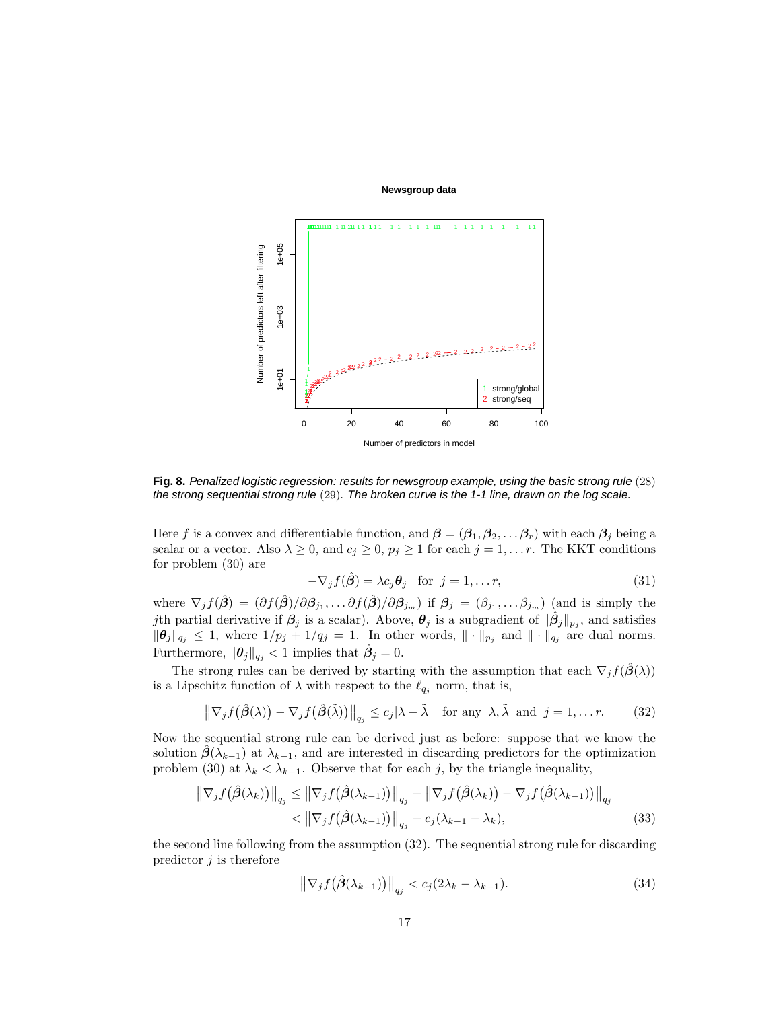#### **Newsgroup data**



**Fig. 8.** Penalized logistic regression: results for newsgroup example, using the basic strong rule (28) the strong sequential strong rule (29). The broken curve is the 1-1 line, drawn on the log scale.

Here f is a convex and differentiable function, and  $\beta = (\beta_1, \beta_2, \dots, \beta_r)$  with each  $\beta_j$  being a scalar or a vector. Also  $\lambda \geq 0$ , and  $c_j \geq 0$ ,  $p_j \geq 1$  for each  $j = 1, \ldots r$ . The KKT conditions for problem (30) are

$$
-\nabla_j f(\hat{\boldsymbol{\beta}}) = \lambda c_j \boldsymbol{\theta}_j \quad \text{for } j = 1, \dots r,
$$
\n(31)

where  $\nabla_j f(\hat{\boldsymbol{\beta}}) = (\partial f(\hat{\boldsymbol{\beta}})/\partial \boldsymbol{\beta}_{j_1}, \dots \partial f(\hat{\boldsymbol{\beta}})/\partial \boldsymbol{\beta}_{j_m})$  if  $\boldsymbol{\beta}_j = (\beta_{j_1}, \dots \beta_{j_m})$  (and is simply the jth partial derivative if  $\beta_j$  is a scalar). Above,  $\theta_j$  is a subgradient of  $\|\hat{\beta}_j\|_{p_j}$ , and satisfies  $\|\theta_j\|_{q_j} \leq 1$ , where  $1/p_j + 1/q_j = 1$ . In other words,  $\|\cdot\|_{p_j}$  and  $\|\cdot\|_{q_j}$  are dual norms. Furthermore,  $\|\boldsymbol{\theta}_j\|_{q_j} < 1$  implies that  $\hat{\beta}_j = 0$ .

The strong rules can be derived by starting with the assumption that each  $\nabla_j f(\beta(\lambda))$ is a Lipschitz function of  $\lambda$  with respect to the  $\ell_{q_i}$  norm, that is,

$$
\left\|\nabla_j f(\hat{\boldsymbol{\beta}}(\lambda)) - \nabla_j f(\hat{\boldsymbol{\beta}}(\tilde{\lambda}))\right\|_{q_j} \le c_j |\lambda - \tilde{\lambda}| \text{ for any } \lambda, \tilde{\lambda} \text{ and } j = 1, \dots r. \tag{32}
$$

Now the sequential strong rule can be derived just as before: suppose that we know the solution  $\beta(\lambda_{k-1})$  at  $\lambda_{k-1}$ , and are interested in discarding predictors for the optimization problem (30) at  $\lambda_k < \lambda_{k-1}$ . Observe that for each j, by the triangle inequality,

$$
\|\nabla_j f(\hat{\beta}(\lambda_k))\|_{q_j} \le \|\nabla_j f(\hat{\beta}(\lambda_{k-1}))\|_{q_j} + \|\nabla_j f(\hat{\beta}(\lambda_k)) - \nabla_j f(\hat{\beta}(\lambda_{k-1}))\|_{q_j} \n< |\nabla_j f(\hat{\beta}(\lambda_{k-1}))\|_{q_j} + c_j(\lambda_{k-1} - \lambda_k),
$$
\n(33)

the second line following from the assumption (32). The sequential strong rule for discarding predictor  $j$  is therefore

$$
\left\|\nabla_j f\left(\hat{\boldsymbol{\beta}}(\lambda_{k-1})\right)\right\|_{q_j} < c_j(2\lambda_k - \lambda_{k-1}).\tag{34}
$$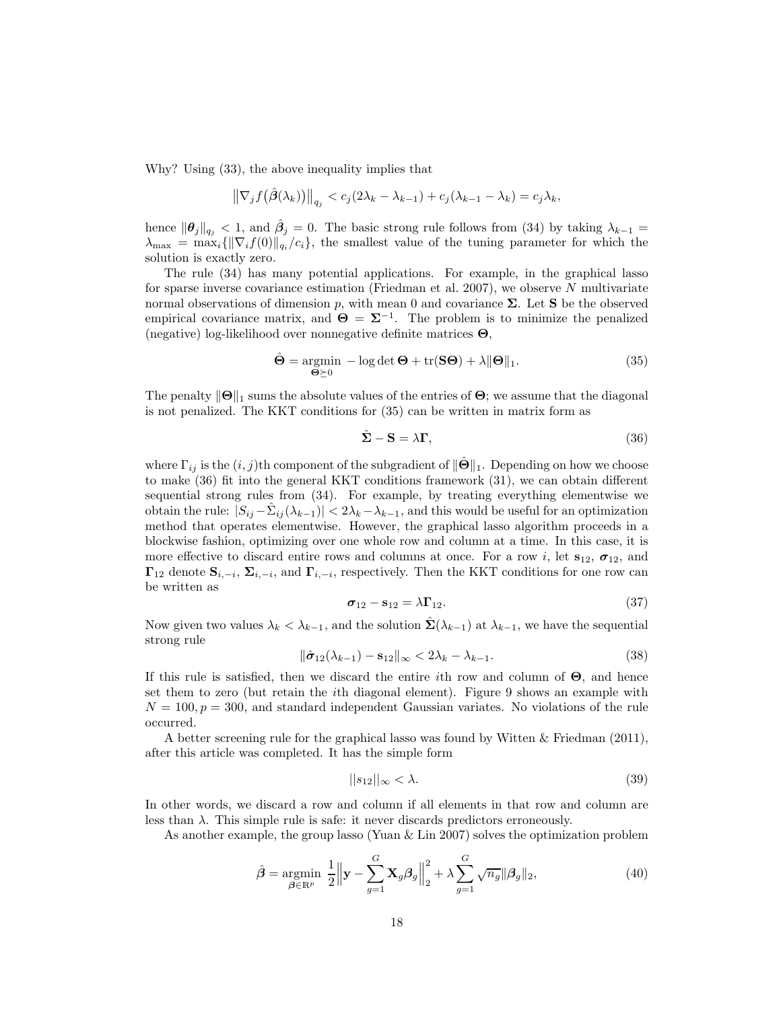Why? Using (33), the above inequality implies that

$$
\left\|\nabla_j f\big(\hat{\boldsymbol{\beta}}(\lambda_k)\big)\right\|_{q_j} < c_j(2\lambda_k - \lambda_{k-1}) + c_j(\lambda_{k-1} - \lambda_k) = c_j\lambda_k,
$$

hence  $\|\theta_j\|_{q_j} < 1$ , and  $\hat{\beta}_j = 0$ . The basic strong rule follows from (34) by taking  $\lambda_{k-1} =$  $\lambda_{\max} = \max_i \{||\nabla_i f(0)||_{q_i}/c_i\}$ , the smallest value of the tuning parameter for which the solution is exactly zero.

The rule (34) has many potential applications. For example, in the graphical lasso for sparse inverse covariance estimation (Friedman et al. 2007), we observe N multivariate normal observations of dimension p, with mean 0 and covariance  $\Sigma$ . Let S be the observed empirical covariance matrix, and  $\Theta = \Sigma^{-1}$ . The problem is to minimize the penalized (negative) log-likelihood over nonnegative definite matrices Θ,

$$
\hat{\Theta} = \underset{\Theta \succeq 0}{\operatorname{argmin}} - \log \det \Theta + \operatorname{tr}(\mathbf{S}\Theta) + \lambda \|\Theta\|_1. \tag{35}
$$

The penalty  $\|\Theta\|_1$  sums the absolute values of the entries of  $\Theta$ ; we assume that the diagonal is not penalized. The KKT conditions for (35) can be written in matrix form as

$$
\hat{\Sigma} - S = \lambda \Gamma, \tag{36}
$$

where  $\Gamma_{ij}$  is the  $(i, j)$ th component of the subgradient of  $\|\hat{\Theta}\|_1$ . Depending on how we choose to make (36) fit into the general KKT conditions framework (31), we can obtain different sequential strong rules from (34). For example, by treating everything elementwise we obtain the rule:  $|S_{ij} - \hat{\Sigma}_{ij}(\lambda_{k-1})| < 2\lambda_k - \lambda_{k-1}$ , and this would be useful for an optimization method that operates elementwise. However, the graphical lasso algorithm proceeds in a blockwise fashion, optimizing over one whole row and column at a time. In this case, it is more effective to discard entire rows and columns at once. For a row i, let  $s_{12}$ ,  $\sigma_{12}$ , and  $\Gamma_{12}$  denote  $\mathbf{S}_{i,-i}$ ,  $\Sigma_{i,-i}$ , and  $\Gamma_{i,-i}$ , respectively. Then the KKT conditions for one row can be written as

$$
\boldsymbol{\sigma}_{12} - \mathbf{s}_{12} = \lambda \boldsymbol{\Gamma}_{12}.
$$
\n(37)

Now given two values  $\lambda_k < \lambda_{k-1}$ , and the solution  $\hat{\Sigma}(\lambda_{k-1})$  at  $\lambda_{k-1}$ , we have the sequential strong rule

$$
\|\hat{\sigma}_{12}(\lambda_{k-1}) - \mathbf{s}_{12}\|_{\infty} < 2\lambda_k - \lambda_{k-1}.\tag{38}
$$

If this rule is satisfied, then we discard the entire ith row and column of  $\Theta$ , and hence set them to zero (but retain the ith diagonal element). Figure 9 shows an example with  $N = 100, p = 300$ , and standard independent Gaussian variates. No violations of the rule occurred.

A better screening rule for the graphical lasso was found by Witten & Friedman (2011), after this article was completed. It has the simple form

$$
||s_{12}||_{\infty} < \lambda. \tag{39}
$$

In other words, we discard a row and column if all elements in that row and column are less than  $\lambda$ . This simple rule is safe: it never discards predictors erroneously.

As another example, the group lasso (Yuan & Lin 2007) solves the optimization problem

$$
\hat{\boldsymbol{\beta}} = \underset{\boldsymbol{\beta} \in \mathbb{R}^p}{\operatorname{argmin}} \ \frac{1}{2} \left\| \mathbf{y} - \sum_{g=1}^G \mathbf{X}_g \boldsymbol{\beta}_g \right\|_2^2 + \lambda \sum_{g=1}^G \sqrt{n_g} \|\boldsymbol{\beta}_g\|_2, \tag{40}
$$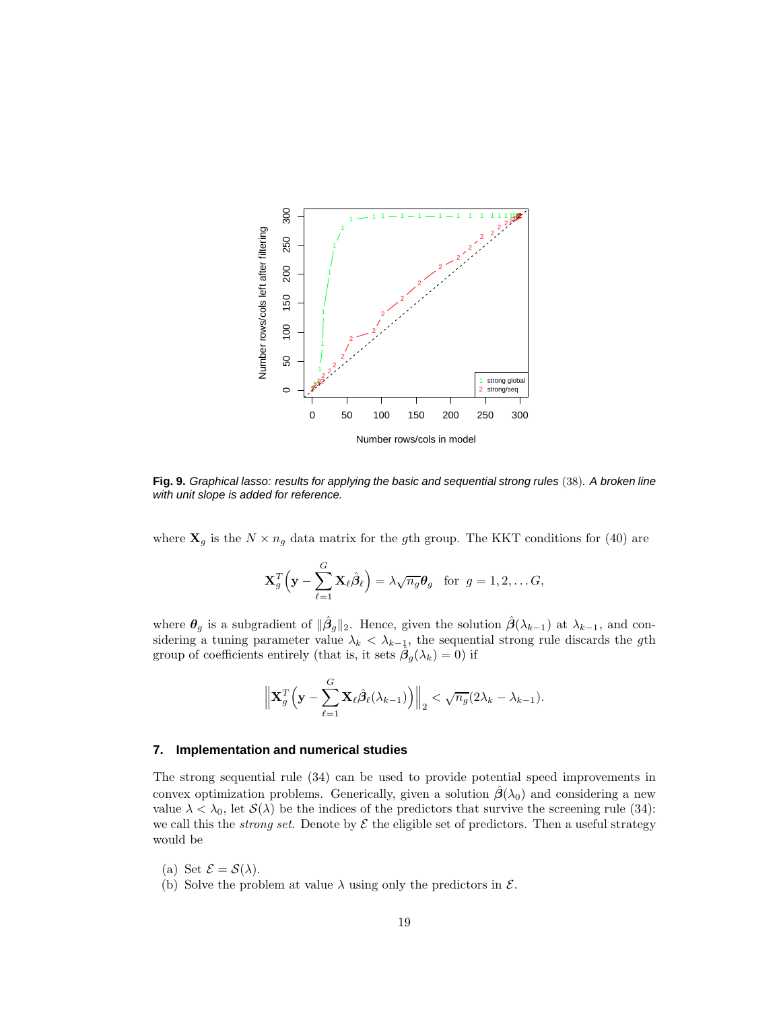

**Fig. 9.** Graphical lasso: results for applying the basic and sequential strong rules (38). A broken line with unit slope is added for reference.

where  $\mathbf{X}_g$  is the  $N \times n_g$  data matrix for the gth group. The KKT conditions for (40) are

$$
\mathbf{X}_g^T\left(\mathbf{y}-\sum_{\ell=1}^G\mathbf{X}_{\ell}\hat{\boldsymbol{\beta}}_{\ell}\right)=\lambda\sqrt{n_g}\boldsymbol{\theta}_g \text{ for } g=1,2,\ldots G,
$$

where  $\theta_g$  is a subgradient of  $\|\hat{\beta}_g\|_2$ . Hence, given the solution  $\hat{\beta}(\lambda_{k-1})$  at  $\lambda_{k-1}$ , and considering a tuning parameter value  $\lambda_k < \lambda_{k-1}$ , the sequential strong rule discards the gth group of coefficients entirely (that is, it sets  $\hat{\beta}_g(\lambda_k) = 0$ ) if

$$
\left\| \mathbf{X}_{g}^{T} \left( \mathbf{y} - \sum_{\ell=1}^{G} \mathbf{X}_{\ell} \hat{\boldsymbol{\beta}}_{\ell} (\lambda_{k-1}) \right) \right\|_{2} < \sqrt{n_{g}} (2\lambda_{k} - \lambda_{k-1}).
$$

# **7. Implementation and numerical studies**

The strong sequential rule (34) can be used to provide potential speed improvements in convex optimization problems. Generically, given a solution  $\beta(\lambda_0)$  and considering a new value  $\lambda < \lambda_0$ , let  $\mathcal{S}(\lambda)$  be the indices of the predictors that survive the screening rule (34): we call this the *strong set*. Denote by  $\mathcal E$  the eligible set of predictors. Then a useful strategy would be

- (a) Set  $\mathcal{E} = \mathcal{S}(\lambda)$ .
- (b) Solve the problem at value  $\lambda$  using only the predictors in  $\mathcal{E}$ .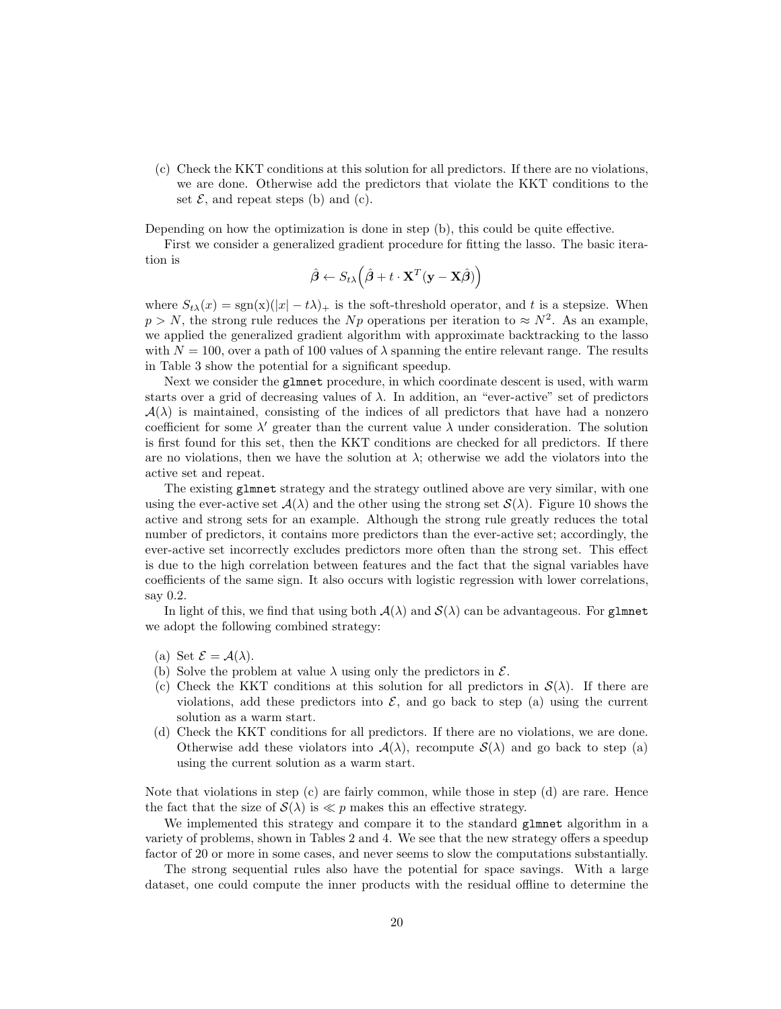(c) Check the KKT conditions at this solution for all predictors. If there are no violations, we are done. Otherwise add the predictors that violate the KKT conditions to the set  $\mathcal{E}$ , and repeat steps (b) and (c).

Depending on how the optimization is done in step (b), this could be quite effective.

First we consider a generalized gradient procedure for fitting the lasso. The basic iteration is

$$
\hat{\boldsymbol{\beta}} \leftarrow S_{t\lambda} (\hat{\boldsymbol{\beta}} + t \cdot \mathbf{X}^T (\mathbf{y} - \mathbf{X} \hat{\boldsymbol{\beta}}))
$$

where  $S_{t\lambda}(x) = \text{sgn}(x)(|x| - t\lambda)_+$  is the soft-threshold operator, and t is a stepsize. When  $p > N$ , the strong rule reduces the  $Np$  operations per iteration to  $\approx N^2$ . As an example, we applied the generalized gradient algorithm with approximate backtracking to the lasso with  $N = 100$ , over a path of 100 values of  $\lambda$  spanning the entire relevant range. The results in Table 3 show the potential for a significant speedup.

Next we consider the glmnet procedure, in which coordinate descent is used, with warm starts over a grid of decreasing values of  $\lambda$ . In addition, an "ever-active" set of predictors  $\mathcal{A}(\lambda)$  is maintained, consisting of the indices of all predictors that have had a nonzero coefficient for some  $\lambda'$  greater than the current value  $\lambda$  under consideration. The solution is first found for this set, then the KKT conditions are checked for all predictors. If there are no violations, then we have the solution at  $\lambda$ ; otherwise we add the violators into the active set and repeat.

The existing glmnet strategy and the strategy outlined above are very similar, with one using the ever-active set  $\mathcal{A}(\lambda)$  and the other using the strong set  $\mathcal{S}(\lambda)$ . Figure 10 shows the active and strong sets for an example. Although the strong rule greatly reduces the total number of predictors, it contains more predictors than the ever-active set; accordingly, the ever-active set incorrectly excludes predictors more often than the strong set. This effect is due to the high correlation between features and the fact that the signal variables have coefficients of the same sign. It also occurs with logistic regression with lower correlations, say 0.2.

In light of this, we find that using both  $A(\lambda)$  and  $S(\lambda)$  can be advantageous. For gluent we adopt the following combined strategy:

- (a) Set  $\mathcal{E} = \mathcal{A}(\lambda)$ .
- (b) Solve the problem at value  $\lambda$  using only the predictors in  $\mathcal{E}$ .
- (c) Check the KKT conditions at this solution for all predictors in  $\mathcal{S}(\lambda)$ . If there are violations, add these predictors into  $\mathcal{E}$ , and go back to step (a) using the current solution as a warm start.
- (d) Check the KKT conditions for all predictors. If there are no violations, we are done. Otherwise add these violators into  $\mathcal{A}(\lambda)$ , recompute  $\mathcal{S}(\lambda)$  and go back to step (a) using the current solution as a warm start.

Note that violations in step  $(c)$  are fairly common, while those in step  $(d)$  are rare. Hence the fact that the size of  $\mathcal{S}(\lambda)$  is  $\ll p$  makes this an effective strategy.

We implemented this strategy and compare it to the standard glmnet algorithm in a variety of problems, shown in Tables 2 and 4. We see that the new strategy offers a speedup factor of 20 or more in some cases, and never seems to slow the computations substantially.

The strong sequential rules also have the potential for space savings. With a large dataset, one could compute the inner products with the residual offline to determine the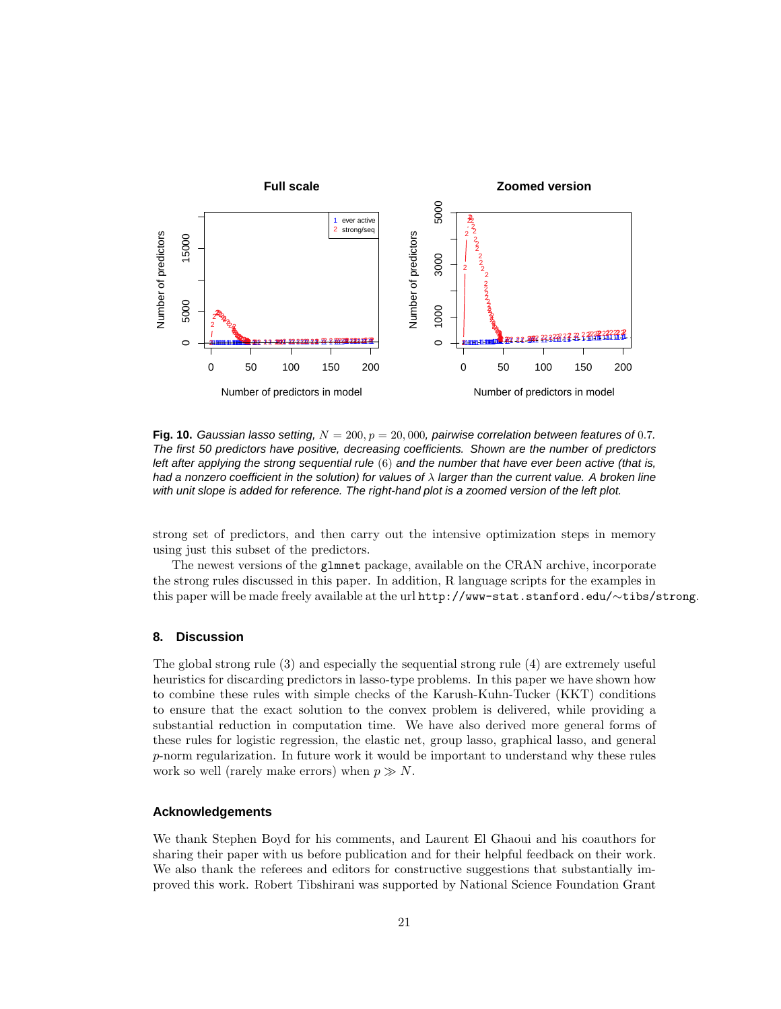

**Fig. 10.** Gaussian lasso setting,  $N = 200$ ,  $p = 20,000$ , pairwise correlation between features of 0.7. The first 50 predictors have positive, decreasing coefficients. Shown are the number of predictors left after applying the strong sequential rule (6) and the number that have ever been active (that is, had a nonzero coefficient in the solution) for values of  $\lambda$  larger than the current value. A broken line with unit slope is added for reference. The right-hand plot is a zoomed version of the left plot.

strong set of predictors, and then carry out the intensive optimization steps in memory using just this subset of the predictors.

The newest versions of the glmnet package, available on the CRAN archive, incorporate the strong rules discussed in this paper. In addition, R language scripts for the examples in this paper will be made freely available at the url http://www-stat.stanford.edu/∼tibs/strong.

# **8. Discussion**

The global strong rule (3) and especially the sequential strong rule (4) are extremely useful heuristics for discarding predictors in lasso-type problems. In this paper we have shown how to combine these rules with simple checks of the Karush-Kuhn-Tucker (KKT) conditions to ensure that the exact solution to the convex problem is delivered, while providing a substantial reduction in computation time. We have also derived more general forms of these rules for logistic regression, the elastic net, group lasso, graphical lasso, and general p-norm regularization. In future work it would be important to understand why these rules work so well (rarely make errors) when  $p \gg N$ .

# **Acknowledgements**

We thank Stephen Boyd for his comments, and Laurent El Ghaoui and his coauthors for sharing their paper with us before publication and for their helpful feedback on their work. We also thank the referees and editors for constructive suggestions that substantially improved this work. Robert Tibshirani was supported by National Science Foundation Grant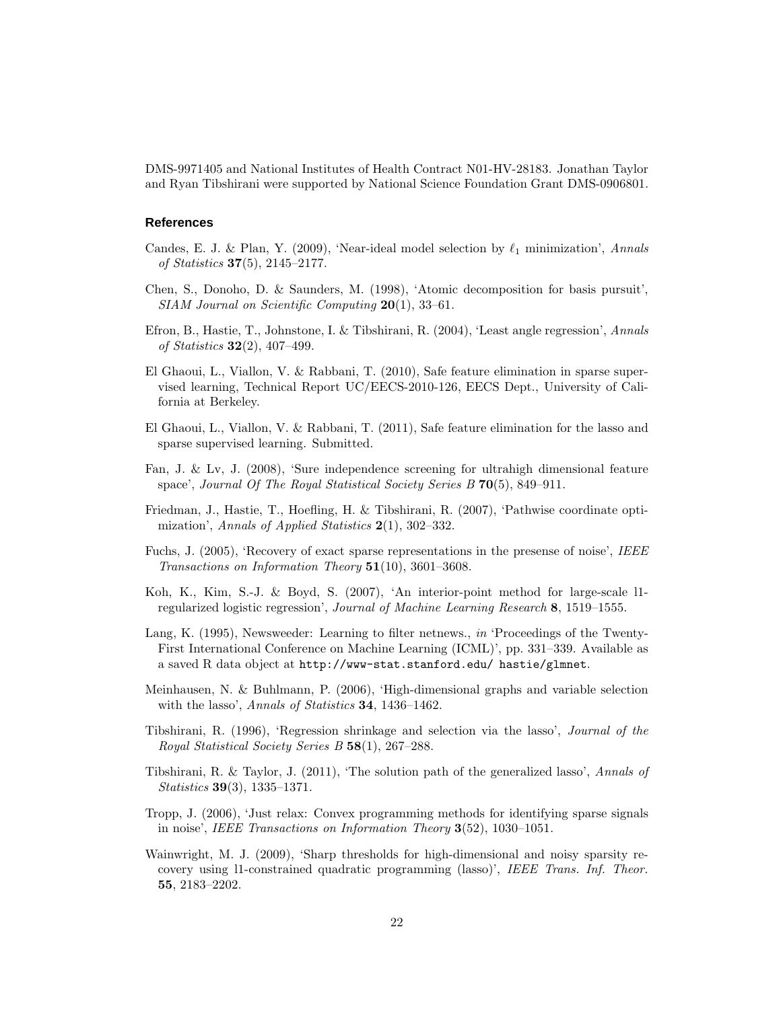DMS-9971405 and National Institutes of Health Contract N01-HV-28183. Jonathan Taylor and Ryan Tibshirani were supported by National Science Foundation Grant DMS-0906801.

## **References**

- Candes, E. J. & Plan, Y. (2009), 'Near-ideal model selection by  $\ell_1$  minimization', Annals of Statistics 37(5), 2145–2177.
- Chen, S., Donoho, D. & Saunders, M. (1998), 'Atomic decomposition for basis pursuit',  $SIAM\ Journal\ on\ Scientific\ Computing\ 20(1),\ 33–61.$
- Efron, B., Hastie, T., Johnstone, I. & Tibshirani, R. (2004), 'Least angle regression', Annals of *Statistics* **32** $(2)$ , 407–499.
- El Ghaoui, L., Viallon, V. & Rabbani, T. (2010), Safe feature elimination in sparse supervised learning, Technical Report UC/EECS-2010-126, EECS Dept., University of California at Berkeley.
- El Ghaoui, L., Viallon, V. & Rabbani, T. (2011), Safe feature elimination for the lasso and sparse supervised learning. Submitted.
- Fan, J. & Lv, J. (2008), 'Sure independence screening for ultrahigh dimensional feature space', Journal Of The Royal Statistical Society Series B 70(5), 849-911.
- Friedman, J., Hastie, T., Hoefling, H. & Tibshirani, R. (2007), 'Pathwise coordinate optimization', Annals of Applied Statistics 2(1), 302-332.
- Fuchs, J. (2005), 'Recovery of exact sparse representations in the presense of noise', IEEE Transactions on Information Theory 51(10), 3601–3608.
- Koh, K., Kim, S.-J. & Boyd, S. (2007), 'An interior-point method for large-scale l1 regularized logistic regression', Journal of Machine Learning Research 8, 1519–1555.
- Lang, K. (1995), Newsweeder: Learning to filter netnews., in 'Proceedings of the Twenty-First International Conference on Machine Learning (ICML)', pp. 331–339. Available as a saved R data object at http://www-stat.stanford.edu/ hastie/glmnet.
- Meinhausen, N. & Buhlmann, P. (2006), 'High-dimensional graphs and variable selection with the lasso', Annals of Statistics 34, 1436–1462.
- Tibshirani, R. (1996), 'Regression shrinkage and selection via the lasso', Journal of the Royal Statistical Society Series B 58(1), 267–288.
- Tibshirani, R. & Taylor, J. (2011), 'The solution path of the generalized lasso', Annals of Statistics **39**(3), 1335–1371.
- Tropp, J. (2006), 'Just relax: Convex programming methods for identifying sparse signals in noise', IEEE Transactions on Information Theory 3(52), 1030–1051.
- Wainwright, M. J. (2009), 'Sharp thresholds for high-dimensional and noisy sparsity recovery using l1-constrained quadratic programming (lasso)', IEEE Trans. Inf. Theor. 55, 2183–2202.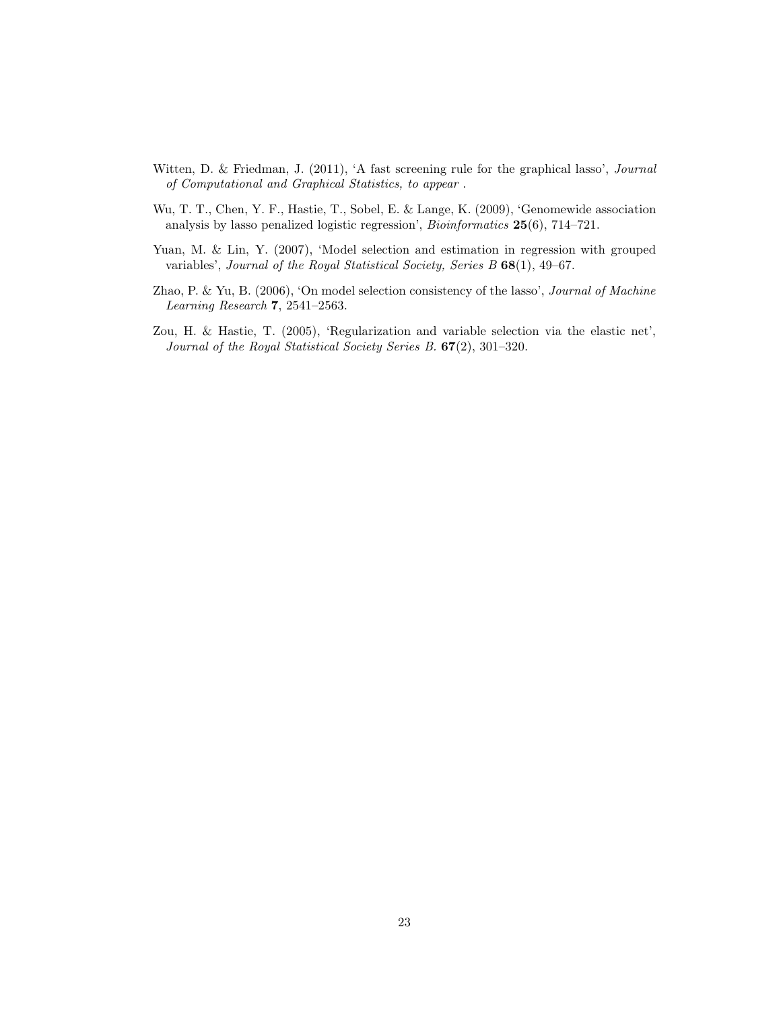- Witten, D. & Friedman, J. (2011), 'A fast screening rule for the graphical lasso', Journal of Computational and Graphical Statistics, to appear .
- Wu, T. T., Chen, Y. F., Hastie, T., Sobel, E. & Lange, K. (2009), 'Genomewide association analysis by lasso penalized logistic regression', Bioinformatics 25(6), 714–721.
- Yuan, M. & Lin, Y. (2007), 'Model selection and estimation in regression with grouped variables', Journal of the Royal Statistical Society, Series B 68(1), 49–67.
- Zhao, P. & Yu, B. (2006), 'On model selection consistency of the lasso', *Journal of Machine* Learning Research 7, 2541–2563.
- Zou, H. & Hastie, T. (2005), 'Regularization and variable selection via the elastic net', Journal of the Royal Statistical Society Series B. 67(2), 301–320.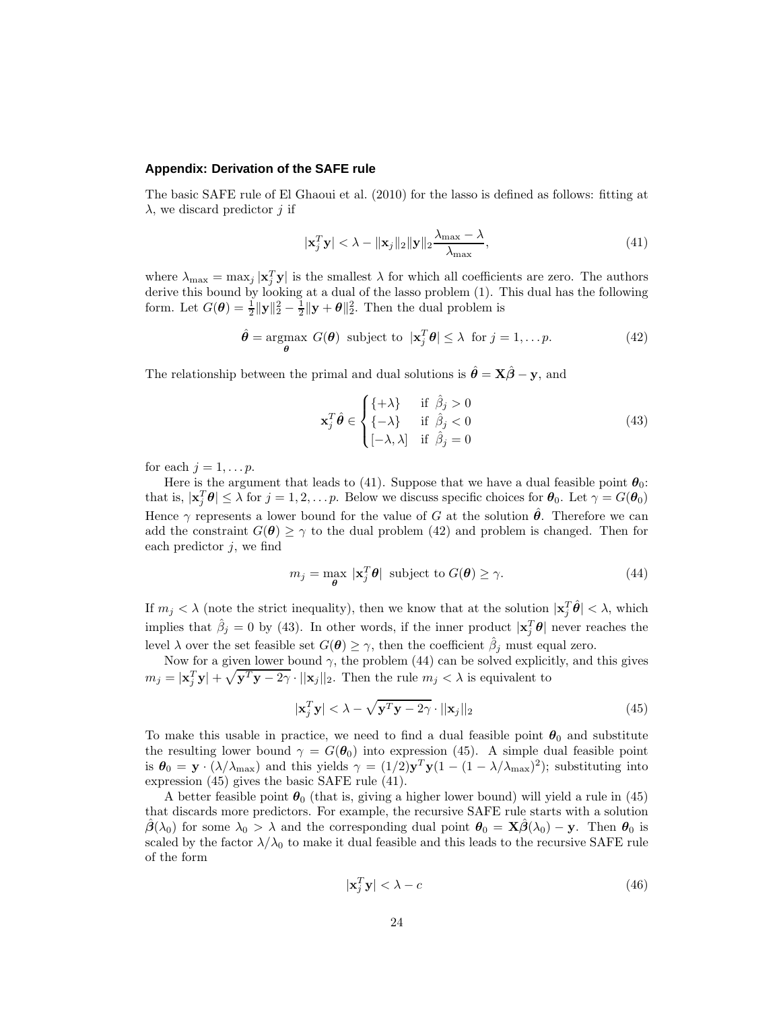## **Appendix: Derivation of the SAFE rule**

The basic SAFE rule of El Ghaoui et al. (2010) for the lasso is defined as follows: fitting at  $\lambda$ , we discard predictor j if

$$
|\mathbf{x}_j^T \mathbf{y}| < \lambda - \|\mathbf{x}_j\|_2 \|\mathbf{y}\|_2 \frac{\lambda_{\max} - \lambda}{\lambda_{\max}},
$$
\n(41)

where  $\lambda_{\text{max}} = \max_j |\mathbf{x}_j^T \mathbf{y}|$  is the smallest  $\lambda$  for which all coefficients are zero. The authors derive this bound by looking at a dual of the lasso problem  $(1)$ . This dual has the following form. Let  $G(\theta) = \frac{1}{2} ||\mathbf{y}||_2^2 - \frac{1}{2} ||\mathbf{y} + \theta||_2^2$ . Then the dual problem is

$$
\hat{\theta} = \underset{\theta}{\operatorname{argmax}} \ G(\theta) \text{ subject to } |\mathbf{x}_j^T \theta| \le \lambda \text{ for } j = 1, \dots p. \tag{42}
$$

The relationship between the primal and dual solutions is  $\hat{\theta} = X\hat{\beta} - y$ , and

$$
\mathbf{x}_{j}^{T} \hat{\boldsymbol{\theta}} \in \begin{cases} \{ +\lambda \} & \text{if } \hat{\beta}_{j} > 0 \\ \{ -\lambda \} & \text{if } \hat{\beta}_{j} < 0 \\ [-\lambda, \lambda] & \text{if } \hat{\beta}_{j} = 0 \end{cases} \tag{43}
$$

for each  $j = 1, \ldots p$ .

Here is the argument that leads to (41). Suppose that we have a dual feasible point  $\theta_0$ : that is,  $|\mathbf{x}_j^T \boldsymbol{\theta}| \leq \lambda$  for  $j = 1, 2, \ldots p$ . Below we discuss specific choices for  $\boldsymbol{\theta}_0$ . Let  $\gamma = G(\boldsymbol{\theta}_0)$ Hence  $\gamma$  represents a lower bound for the value of G at the solution  $\hat{\theta}$ . Therefore we can add the constraint  $G(\theta) \geq \gamma$  to the dual problem (42) and problem is changed. Then for each predictor  $j$ , we find

$$
m_j = \max_{\theta} |\mathbf{x}_j^T \theta| \text{ subject to } G(\theta) \ge \gamma. \tag{44}
$$

If  $m_j < \lambda$  (note the strict inequality), then we know that at the solution  $|\mathbf{x}_j^T \hat{\boldsymbol{\theta}}| < \lambda$ , which implies that  $\hat{\beta}_j = 0$  by (43). In other words, if the inner product  $|\mathbf{x}_j^T \boldsymbol{\theta}|$  never reaches the level  $\lambda$  over the set feasible set  $G(\theta) \geq \gamma$ , then the coefficient  $\hat{\beta}_j$  must equal zero.

Now for a given lower bound  $\gamma$ , the problem (44) can be solved explicitly, and this gives  $m_j = |\mathbf{x}_j^T \mathbf{y}| + \sqrt{\mathbf{y}^T \mathbf{y} - 2\gamma} \cdot ||\mathbf{x}_j||_2$ . Then the rule  $m_j < \lambda$  is equivalent to

$$
|\mathbf{x}_j^T \mathbf{y}| < \lambda - \sqrt{\mathbf{y}^T \mathbf{y} - 2\gamma} \cdot ||\mathbf{x}_j||_2
$$
\n(45)

To make this usable in practice, we need to find a dual feasible point  $\theta_0$  and substitute the resulting lower bound  $\gamma = G(\theta_0)$  into expression (45). A simple dual feasible point is  $\theta_0 = \mathbf{y} \cdot (\lambda/\lambda_{\text{max}})$  and this yields  $\gamma = (1/2)\mathbf{y}^T\mathbf{y}(1 - (1 - \lambda/\lambda_{\text{max}})^2)$ ; substituting into expression (45) gives the basic SAFE rule (41).

A better feasible point  $\theta_0$  (that is, giving a higher lower bound) will yield a rule in (45) that discards more predictors. For example, the recursive SAFE rule starts with a solution  $\beta(\lambda_0)$  for some  $\lambda_0 > \lambda$  and the corresponding dual point  $\theta_0 = \mathbf{X}\beta(\lambda_0) - \mathbf{y}$ . Then  $\theta_0$  is scaled by the factor  $\lambda/\lambda_0$  to make it dual feasible and this leads to the recursive SAFE rule of the form

$$
|\mathbf{x}_j^T \mathbf{y}| < \lambda - c \tag{46}
$$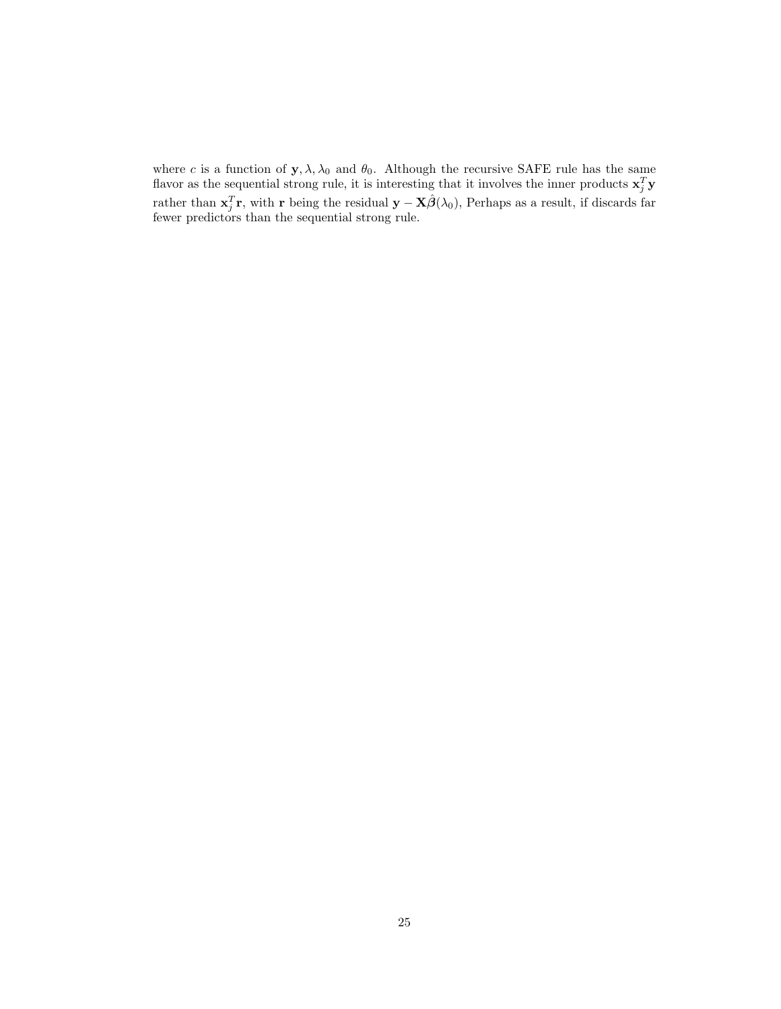where c is a function of  $\mathbf{y}, \lambda, \lambda_0$  and  $\theta_0$ . Although the recursive SAFE rule has the same flavor as the sequential strong rule, it is interesting that it involves the inner products  $\mathbf{x}_j^T \mathbf{y}$ rather than  $\mathbf{x}_j^T \mathbf{r}$ , with r being the residual  $\mathbf{y} - \mathbf{X} \hat{\boldsymbol{\beta}}(\lambda_0)$ , Perhaps as a result, if discards far fewer predictors than the sequential strong rule.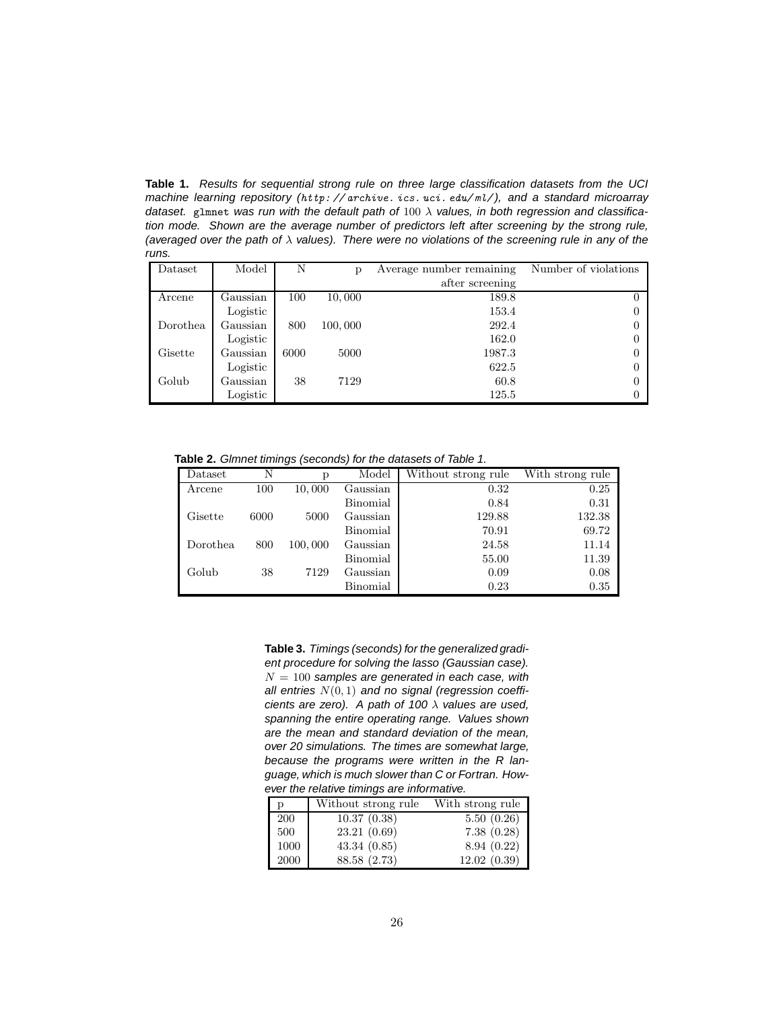**Table 1.** Results for sequential strong rule on three large classification datasets from the UCI machine learning repository (*http: // archive. ics. uci. edu/ ml/* ), and a standard microarray dataset. glmnet was run with the default path of  $100 \lambda$  values, in both regression and classification mode. Shown are the average number of predictors left after screening by the strong rule, (averaged over the path of  $\lambda$  values). There were no violations of the screening rule in any of the runs.

| Dataset  | Model    | N    | p       | Average number remaining | Number of violations |
|----------|----------|------|---------|--------------------------|----------------------|
|          |          |      |         | after screening          |                      |
| Arcene   | Gaussian | 100  | 10,000  | 189.8                    |                      |
|          | Logistic |      |         | 153.4                    |                      |
| Dorothea | Gaussian | 800  | 100,000 | 292.4                    |                      |
|          | Logistic |      |         | 162.0                    |                      |
| Gisette  | Gaussian | 6000 | 5000    | 1987.3                   |                      |
|          | Logistic |      |         | 622.5                    |                      |
| Golub    | Gaussian | 38   | 7129    | 60.8                     |                      |
|          | Logistic |      |         | 125.5                    |                      |

**Table 2.** Glmnet timings (seconds) for the datasets of Table 1.

| Dataset  | N    | р       | Model    | Without strong rule | With strong rule |
|----------|------|---------|----------|---------------------|------------------|
| Arcene   | 100  | 10,000  | Gaussian | 0.32                | 0.25             |
|          |      |         | Binomial | 0.84                | 0.31             |
| Gisette  | 6000 | 5000    | Gaussian | 129.88              | 132.38           |
|          |      |         | Binomial | 70.91               | 69.72            |
| Dorothea | 800  | 100,000 | Gaussian | 24.58               | 11.14            |
|          |      |         | Binomial | 55.00               | 11.39            |
| Golub    | 38   | 7129    | Gaussian | 0.09                | 0.08             |
|          |      |         | Binomial | 0.23                | 0.35             |

**Table 3.** Timings (seconds) for the generalized gradient procedure for solving the lasso (Gaussian case).  $N = 100$  samples are generated in each case, with all entries  $N(0, 1)$  and no signal (regression coefficients are zero). A path of 100  $\lambda$  values are used, spanning the entire operating range. Values shown are the mean and standard deviation of the mean, over 20 simulations. The times are somewhat large, because the programs were written in the R language, which is much slower than C or Fortran. However the relative timings are informative.

| р    | Without strong rule | With strong rule |
|------|---------------------|------------------|
| 200  | 10.37(0.38)         | 5.50(0.26)       |
| 500  | 23.21 (0.69)        | 7.38(0.28)       |
| 1000 | 43.34(0.85)         | 8.94(0.22)       |
| 2000 | 88.58 (2.73)        | 12.02(0.39)      |